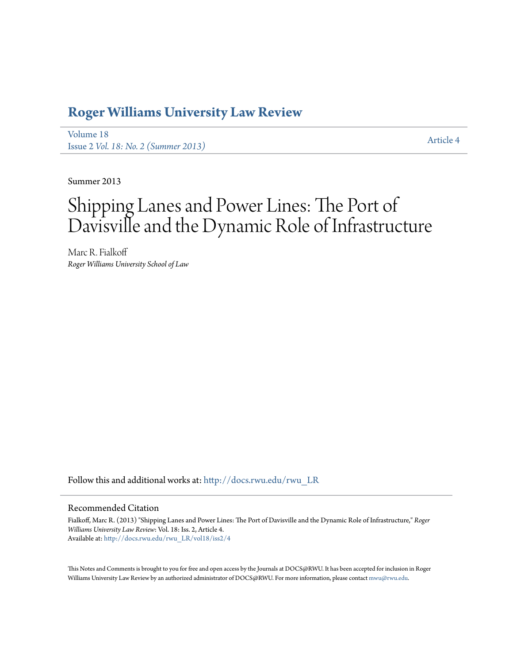# **[Roger Williams University Law Review](http://docs.rwu.edu/rwu_LR?utm_source=docs.rwu.edu%2Frwu_LR%2Fvol18%2Fiss2%2F4&utm_medium=PDF&utm_campaign=PDFCoverPages)**

[Volume 18](http://docs.rwu.edu/rwu_LR/vol18?utm_source=docs.rwu.edu%2Frwu_LR%2Fvol18%2Fiss2%2F4&utm_medium=PDF&utm_campaign=PDFCoverPages) Issue 2 *[Vol. 18: No. 2 \(Summer 2013\)](http://docs.rwu.edu/rwu_LR/vol18/iss2?utm_source=docs.rwu.edu%2Frwu_LR%2Fvol18%2Fiss2%2F4&utm_medium=PDF&utm_campaign=PDFCoverPages)* [Article 4](http://docs.rwu.edu/rwu_LR/vol18/iss2/4?utm_source=docs.rwu.edu%2Frwu_LR%2Fvol18%2Fiss2%2F4&utm_medium=PDF&utm_campaign=PDFCoverPages)

Summer 2013

# Shipping Lanes and Power Lines: The Port of Davisville and the Dynamic Role of Infrastructure

Marc R. Fialkoff *Roger Williams University School of Law*

Follow this and additional works at: [http://docs.rwu.edu/rwu\\_LR](http://docs.rwu.edu/rwu_LR?utm_source=docs.rwu.edu%2Frwu_LR%2Fvol18%2Fiss2%2F4&utm_medium=PDF&utm_campaign=PDFCoverPages)

# Recommended Citation

Fialkoff, Marc R. (2013) "Shipping Lanes and Power Lines: The Port of Davisville and the Dynamic Role of Infrastructure," *Roger Williams University Law Review*: Vol. 18: Iss. 2, Article 4. Available at: [http://docs.rwu.edu/rwu\\_LR/vol18/iss2/4](http://docs.rwu.edu/rwu_LR/vol18/iss2/4?utm_source=docs.rwu.edu%2Frwu_LR%2Fvol18%2Fiss2%2F4&utm_medium=PDF&utm_campaign=PDFCoverPages)

This Notes and Comments is brought to you for free and open access by the Journals at DOCS@RWU. It has been accepted for inclusion in Roger Williams University Law Review by an authorized administrator of DOCS@RWU. For more information, please contact [mwu@rwu.edu.](mailto:mwu@rwu.edu)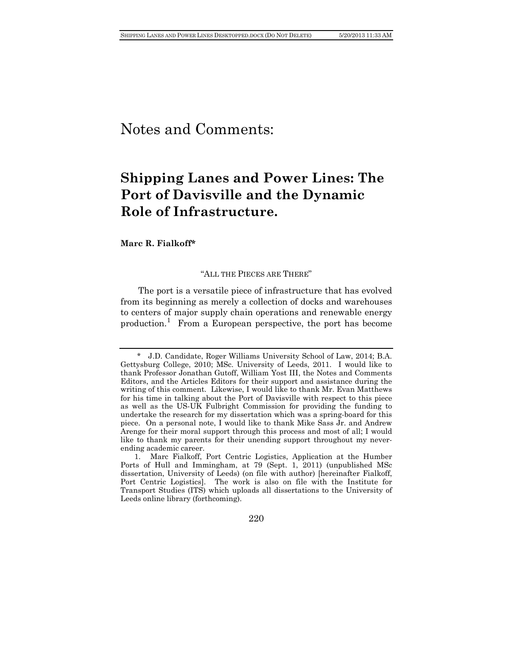# Notes and Comments:

# **Shipping Lanes and Power Lines: The Port of Davisville and the Dynamic Role of Infrastructure.**

#### **Marc R. Fialkoff\***

# "ALL THE PIECES ARE THERE"

The port is a versatile piece of infrastructure that has evolved from its beginning as merely a collection of docks and warehouses to centers of major supply chain operations and renewable energy production.<sup>[1](#page-1-0)</sup> From a European perspective, the port has become

220

<span id="page-1-0"></span> <sup>\*</sup> J.D. Candidate, Roger Williams University School of Law, 2014; B.A. Gettysburg College, 2010; MSc. University of Leeds, 2011. I would like to thank Professor Jonathan Gutoff, William Yost III, the Notes and Comments Editors, and the Articles Editors for their support and assistance during the writing of this comment. Likewise, I would like to thank Mr. Evan Matthews for his time in talking about the Port of Davisville with respect to this piece as well as the US-UK Fulbright Commission for providing the funding to undertake the research for my dissertation which was a spring-board for this piece. On a personal note, I would like to thank Mike Sass Jr. and Andrew Arenge for their moral support through this process and most of all; I would like to thank my parents for their unending support throughout my neverending academic career.

<sup>1.</sup> Marc Fialkoff, Port Centric Logistics, Application at the Humber Ports of Hull and Immingham, at 79 (Sept. 1, 2011) (unpublished MSc dissertation, University of Leeds) (on file with author) [hereinafter Fialkoff, Port Centric Logistics]. The work is also on file with the Institute for Transport Studies (ITS) which uploads all dissertations to the University of Leeds online library (forthcoming).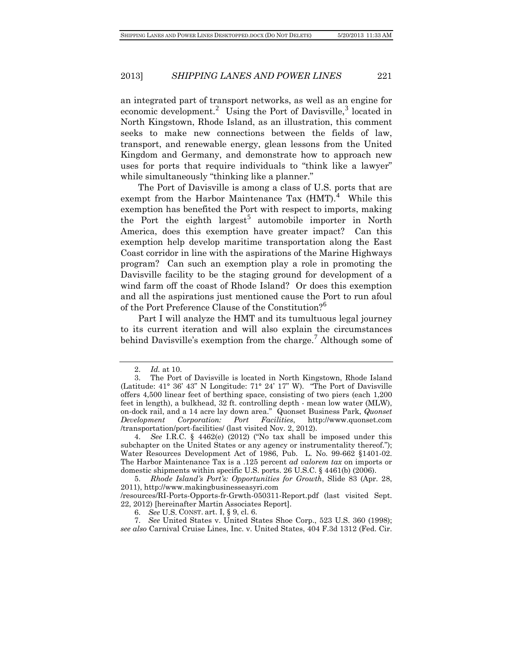an integrated part of transport networks, as well as an engine for economic development.<sup>[2](#page-2-0)</sup> Using the Port of Davisville,<sup>[3](#page-2-1)</sup> located in North Kingstown, Rhode Island, as an illustration, this comment seeks to make new connections between the fields of law, transport, and renewable energy, glean lessons from the United Kingdom and Germany, and demonstrate how to approach new uses for ports that require individuals to "think like a lawyer" while simultaneously "thinking like a planner."

The Port of Davisville is among a class of U.S. ports that are exempt from the Harbor Maintenance Tax  $(HMT)$ .<sup>[4](#page-2-2)</sup> While this exemption has benefited the Port with respect to imports, making the Port the eighth largest<sup>[5](#page-2-3)</sup> automobile importer in North America, does this exemption have greater impact? Can this exemption help develop maritime transportation along the East Coast corridor in line with the aspirations of the Marine Highways program? Can such an exemption play a role in promoting the Davisville facility to be the staging ground for development of a wind farm off the coast of Rhode Island? Or does this exemption and all the aspirations just mentioned cause the Port to run afoul of the Port Preference Clause of the Constitution?[6](#page-2-4)

Part I will analyze the HMT and its tumultuous legal journey to its current iteration and will also explain the circumstances behind Davisville's exemption from the charge.<sup>[7](#page-2-5)</sup> Although some of

<sup>2.</sup> *Id.* at 10.

<span id="page-2-1"></span><span id="page-2-0"></span><sup>3.</sup> The Port of Davisville is located in North Kingstown, Rhode Island (Latitude: 41° 36' 43" N Longitude: 71° 24' 17" W). "The Port of Davisville offers 4,500 linear feet of berthing space, consisting of two piers (each 1,200 feet in length), a bulkhead, 32 ft. controlling depth - mean low water (MLW), on-dock rail, and a 14 acre lay down area." Quonset Business Park, *Quonset Development Corporation: Port Facilities*, http://www.quonset.com /transportation/port-facilities/ (last visited Nov. 2, 2012).

<span id="page-2-2"></span><sup>4.</sup> *See* I.R.C. § 4462(e) (2012) ("No tax shall be imposed under this subchapter on the United States or any agency or instrumentality thereof."); Water Resources Development Act of 1986, Pub. L. No. 99-662 §1401-02. The Harbor Maintenance Tax is a .125 percent *ad valorem tax* on imports or domestic shipments within specific U.S. ports. 26 U.S.C. § 4461(b) (2006).

<span id="page-2-3"></span><sup>5.</sup> *Rhode Island's Port's: Opportunities for Growth*, Slide 83 (Apr. 28, 2011), http://www.makingbusinesseasyri.com

<sup>/</sup>resources/RI-Ports-Opports-fr-Grwth-050311-Report.pdf (last visited Sept. 22, 2012) [hereinafter Martin Associates Report].

<sup>6.</sup> *See* U.S. CONST. art. I, § 9, cl. 6.

<span id="page-2-5"></span><span id="page-2-4"></span><sup>7.</sup> *See* United States v. United States Shoe Corp., 523 U.S. 360 (1998); *see also* Carnival Cruise Lines, Inc. v. United States, 404 F.3d 1312 (Fed. Cir.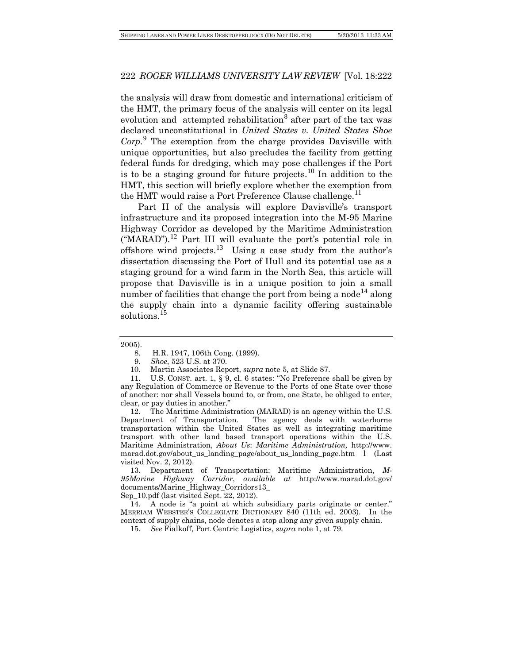the analysis will draw from domestic and international criticism of the HMT, the primary focus of the analysis will center on its legal evolution and attempted rehabilitation<sup>[8](#page-3-0)</sup> after part of the tax was declared unconstitutional in *United States v. United States Shoe Corp.*[9](#page-3-1) The exemption from the charge provides Davisville with unique opportunities, but also precludes the facility from getting federal funds for dredging, which may pose challenges if the Port is to be a staging ground for future projects.<sup>[10](#page-3-2)</sup> In addition to the HMT, this section will briefly explore whether the exemption from the HMT would raise a Port Preference Clause challenge.<sup>[11](#page-3-3)</sup>

Part II of the analysis will explore Davisville's transport infrastructure and its proposed integration into the M-95 Marine Highway Corridor as developed by the Maritime Administration  $("MARAD")$ .<sup>[12](#page-3-4)</sup> Part III will evaluate the port's potential role in offshore wind projects.[13](#page-3-5) Using a case study from the author's dissertation discussing the Port of Hull and its potential use as a staging ground for a wind farm in the North Sea, this article will propose that Davisville is in a unique position to join a small number of facilities that change the port from being a node<sup>[14](#page-3-6)</sup> along the supply chain into a dynamic facility offering sustainable solutions.<sup>[15](#page-3-7)</sup>

<span id="page-3-4"></span>12. The Maritime Administration (MARAD) is an agency within the U.S. Department of Transportation. The agency deals with waterborne transportation within the United States as well as integrating maritime transport with other land based transport operations within the U.S. Maritime Administration, *About Us*: *Maritime Administration,* http://www. marad.dot.gov/about us landing page/about us landing page.htm  $l$  (Last visited Nov. 2, 2012).

<span id="page-3-5"></span>13. Department of Transportation: Maritime Administration, *M-95Marine Highway Corridor*, *available at* http://www.marad.dot.gov/ documents/Marine\_Highway\_Corridors13\_

Sep\_10.pdf (last visited Sept. 22, 2012).

<span id="page-3-7"></span><span id="page-3-6"></span>14. A node is "a point at which subsidiary parts originate or center." MERRIAM WEBSTER'S COLLEGIATE DICTIONARY 840 (11th ed. 2003). In the context of supply chains, node denotes a stop along any given supply chain.

15. *See* Fialkoff, Port Centric Logistics, *supra* note 1, at 79.

<span id="page-3-0"></span><sup>2005).</sup>

<sup>8.</sup> H.R. 1947, 106th Cong. (1999).

<sup>9.</sup> *Shoe*, 523 U.S. at 370.

<sup>10.</sup> Martin Associates Report, *supra* note 5, at Slide 87.

<span id="page-3-3"></span><span id="page-3-2"></span><span id="page-3-1"></span><sup>11.</sup> U.S. CONST. art. 1, § 9, cl. 6 states: "No Preference shall be given by any Regulation of Commerce or Revenue to the Ports of one State over those of another: nor shall Vessels bound to, or from, one State, be obliged to enter, clear, or pay duties in another."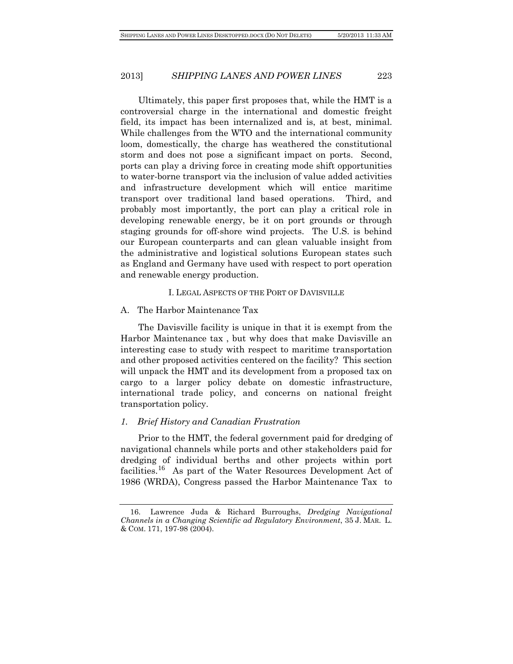Ultimately, this paper first proposes that, while the HMT is a controversial charge in the international and domestic freight field, its impact has been internalized and is, at best, minimal. While challenges from the WTO and the international community loom, domestically, the charge has weathered the constitutional storm and does not pose a significant impact on ports. Second, ports can play a driving force in creating mode shift opportunities to water-borne transport via the inclusion of value added activities and infrastructure development which will entice maritime transport over traditional land based operations. Third, and probably most importantly, the port can play a critical role in developing renewable energy, be it on port grounds or through staging grounds for off-shore wind projects. The U.S. is behind our European counterparts and can glean valuable insight from the administrative and logistical solutions European states such as England and Germany have used with respect to port operation and renewable energy production.

#### I. LEGAL ASPECTS OF THE PORT OF DAVISVILLE

#### A. The Harbor Maintenance Tax

The Davisville facility is unique in that it is exempt from the Harbor Maintenance tax , but why does that make Davisville an interesting case to study with respect to maritime transportation and other proposed activities centered on the facility? This section will unpack the HMT and its development from a proposed tax on cargo to a larger policy debate on domestic infrastructure, international trade policy, and concerns on national freight transportation policy.

#### *1. Brief History and Canadian Frustration*

Prior to the HMT, the federal government paid for dredging of navigational channels while ports and other stakeholders paid for dredging of individual berths and other projects within port facilities.<sup>[16](#page-4-0)</sup> As part of the Water Resources Development Act of 1986 (WRDA), Congress passed the Harbor Maintenance Tax to

<span id="page-4-0"></span><sup>16.</sup> Lawrence Juda & Richard Burroughs, *Dredging Navigational Channels in a Changing Scientific ad Regulatory Environment*, 35 J. MAR. L. & COM. 171, 197-98 (2004).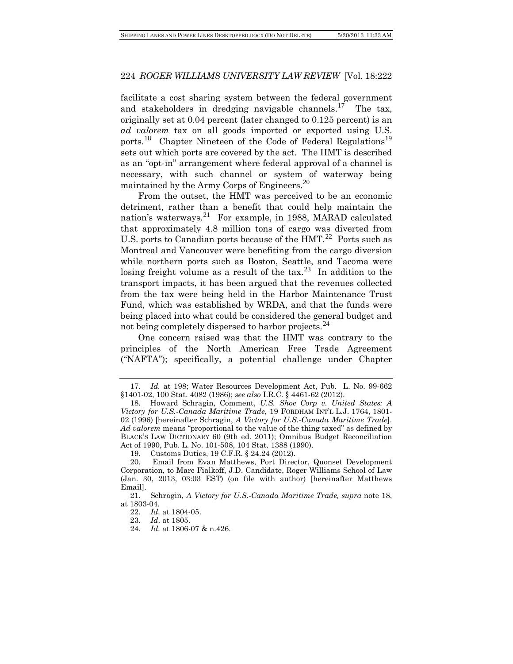facilitate a cost sharing system between the federal government and stakeholders in dredging navigable channels.<sup>[17](#page-5-0)</sup> The tax, originally set at 0.04 percent (later changed to 0.125 percent) is an *ad valorem* tax on all goods imported or exported using U.S. ports.<sup>[18](#page-5-1)</sup> Chapter Nineteen of the Code of Federal Regulations<sup>[19](#page-5-2)</sup> sets out which ports are covered by the act. The HMT is described as an "opt-in" arrangement where federal approval of a channel is necessary, with such channel or system of waterway being maintained by the Army Corps of Engineers.<sup>[20](#page-5-3)</sup>

From the outset, the HMT was perceived to be an economic detriment, rather than a benefit that could help maintain the nation's waterways.<sup>[21](#page-5-4)</sup> For example, in 1988, MARAD calculated that approximately 4.8 million tons of cargo was diverted from U.S. ports to Canadian ports because of the HMT.<sup>[22](#page-5-5)</sup> Ports such as Montreal and Vancouver were benefiting from the cargo diversion while northern ports such as Boston, Seattle, and Tacoma were losing freight volume as a result of the  $\text{tax.}^{23}$  $\text{tax.}^{23}$  $\text{tax.}^{23}$  In addition to the transport impacts, it has been argued that the revenues collected from the tax were being held in the Harbor Maintenance Trust Fund, which was established by WRDA, and that the funds were being placed into what could be considered the general budget and not being completely dispersed to harbor projects.<sup>[24](#page-5-7)</sup>

One concern raised was that the HMT was contrary to the principles of the North American Free Trade Agreement ("NAFTA"); specifically, a potential challenge under Chapter

24. *Id.* at 1806-07 & n.426.

<span id="page-5-0"></span><sup>17.</sup> *Id.* at 198; Water Resources Development Act, Pub. L. No. 99-662 §1401-02, 100 Stat. 4082 (1986); *see also* I.R.C. § 4461-62 (2012).

<span id="page-5-1"></span><sup>18.</sup> Howard Schragin, Comment, *U.S. Shoe Corp v. United States: A Victory for U.S.-Canada Maritime Trade*, 19 FORDHAM INT'L L.J. 1764, 1801- 02 (1996) [hereinafter Schragin, *A Victory for U.S.-Canada Maritime Trade*]. *Ad valorem* means "proportional to the value of the thing taxed" as defined by BLACK'S LAW DICTIONARY 60 (9th ed. 2011); Omnibus Budget Reconciliation Act of 1990[, Pub. L. No. 101-508,](http://www.law.cornell.edu/jureeka/index.php?doc=USPubLaws&cong=101&no=508) 10[4 Stat.](http://en.wikipedia.org/wiki/United_States_Statutes_at_Large) 1388 (1990).

<sup>19.</sup> Customs Duties, 19 C.F.R. § 24.24 (2012).

<span id="page-5-3"></span><span id="page-5-2"></span><sup>20.</sup> Email from Evan Matthews, Port Director, Quonset Development Corporation, to Marc Fialkoff, J.D. Candidate, Roger Williams School of Law (Jan. 30, 2013, 03:03 EST) (on file with author) [hereinafter Matthews Email].

<span id="page-5-7"></span><span id="page-5-6"></span><span id="page-5-5"></span><span id="page-5-4"></span><sup>21.</sup> Schragin, *A Victory for U.S.-Canada Maritime Trade, supra* note 18, at 1803-04.

<sup>22.</sup> *Id.* at 1804-05.<br>23. *Id.* at 1805.

<sup>23.</sup> *Id*. at 1805.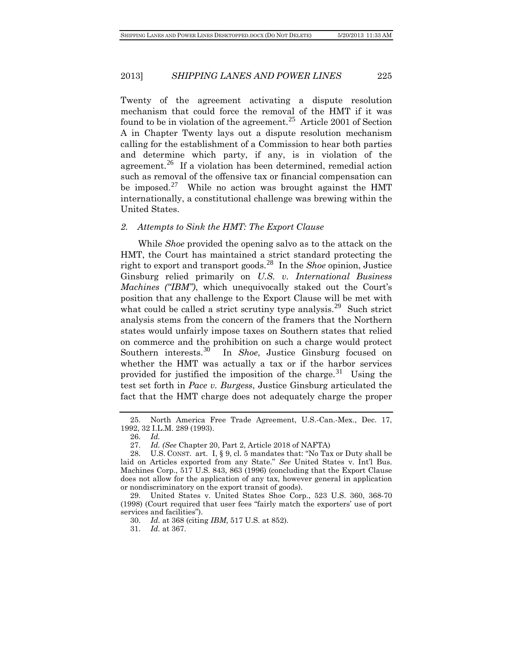Twenty of the agreement activating a dispute resolution mechanism that could force the removal of the HMT if it was found to be in violation of the agreement.<sup>[25](#page-6-0)</sup> Article 2001 of Section A in Chapter Twenty lays out a dispute resolution mechanism calling for the establishment of a Commission to hear both parties and determine which party, if any, is in violation of the agreement.<sup>[26](#page-6-1)</sup> If a violation has been determined, remedial action such as removal of the offensive tax or financial compensation can be imposed.<sup>[27](#page-6-2)</sup> While no action was brought against the HMT internationally, a constitutional challenge was brewing within the United States.

#### *2. Attempts to Sink the HMT: The Export Clause*

While *Shoe* provided the opening salvo as to the attack on the HMT, the Court has maintained a strict standard protecting the right to export and transport goods.[28](#page-6-3) In the *Shoe* opinion, Justice Ginsburg relied primarily on *U.S. v. International Business Machines ("IBM")*, which unequivocally staked out the Court's position that any challenge to the Export Clause will be met with what could be called a strict scrutiny type analysis.<sup>[29](#page-6-4)</sup> Such strict analysis stems from the concern of the framers that the Northern states would unfairly impose taxes on Southern states that relied on commerce and the prohibition on such a charge would protect Southern interests.<sup>[30](#page-6-5)</sup> In *Shoe*, Justice Ginsburg focused on whether the HMT was actually a tax or if the harbor services provided for justified the imposition of the charge.<sup>[31](#page-6-6)</sup> Using the test set forth in *Pace v. Burgess*, Justice Ginsburg articulated the fact that the HMT charge does not adequately charge the proper

<span id="page-6-0"></span><sup>25.</sup> North America Free Trade Agreement, U.S.-Can.-Mex., Dec. 17, 1992, 32 I.L.M. 289 (1993).

<sup>26.</sup> *Id.*

<sup>27.</sup> *Id. (See* Chapter 20, Part 2, Article 2018 of NAFTA)

<span id="page-6-3"></span><span id="page-6-2"></span><span id="page-6-1"></span><sup>28.</sup> U.S. CONST. art. I,  $\S$  9, cl. 5 mandates that: "No Tax or Duty shall be laid on Articles exported from any State." *See* United States v. Int'l Bus. Machines Corp., 517 U.S. 843, 863 (1996) (concluding that the Export Clause does not allow for the application of any tax, however general in application or nondiscriminatory on the export transit of goods).

<span id="page-6-6"></span><span id="page-6-5"></span><span id="page-6-4"></span><sup>29.</sup> United States v. United States Shoe Corp., 523 U.S. 360, 368-70 (1998) (Court required that user fees "fairly match the exporters' use of port services and facilities").

<sup>30.</sup> *Id.* at 368 (citing *IBM*, 517 U.S. at 852).

<sup>31.</sup> *Id.* at 367.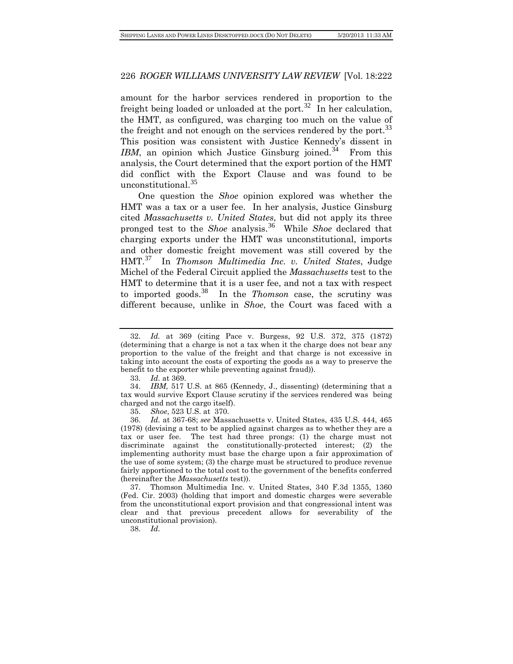amount for the harbor services rendered in proportion to the freight being loaded or unloaded at the port.<sup>[32](#page-7-0)</sup> In her calculation, the HMT, as configured, was charging too much on the value of the freight and not enough on the services rendered by the port.<sup>[33](#page-7-1)</sup> This position was consistent with Justice Kennedy's dissent in *IBM*, an opinion which Justice Ginsburg joined.<sup>[34](#page-7-2)</sup> From this analysis, the Court determined that the export portion of the HMT did conflict with the Export Clause and was found to be unconstitutional.[35](#page-7-3)

One question the *Shoe* opinion explored was whether the HMT was a tax or a user fee. In her analysis, Justice Ginsburg cited *Massachusetts v. United States*, but did not apply its three pronged test to the *Shoe* analysis.[36](#page-7-4) While *Shoe* declared that charging exports under the HMT was unconstitutional, imports and other domestic freight movement was still covered by the HMT.[37](#page-7-5) In *Thomson Multimedia Inc. v. United States*, Judge Michel of the Federal Circuit applied the *Massachusetts* test to the HMT to determine that it is a user fee, and not a tax with respect to imported goods.[38](#page-7-6) In the *Thomson* case, the scrutiny was different because, unlike in *Shoe*, the Court was faced with a

<span id="page-7-6"></span><span id="page-7-5"></span>37. Thomson Multimedia Inc. v. United States, 340 F.3d 1355, 1360 (Fed. Cir. 2003) (holding that import and domestic charges were severable from the unconstitutional export provision and that congressional intent was clear and that previous precedent allows for severability of the unconstitutional provision).

38. *Id.*

<span id="page-7-0"></span><sup>32.</sup> *Id.* at 369 (citing Pace v. Burgess, 92 U.S. 372, 375 (1872) (determining that a charge is not a tax when it the charge does not bear any proportion to the value of the freight and that charge is not excessive in taking into account the costs of exporting the goods as a way to preserve the benefit to the exporter while preventing against fraud)).

<sup>33.</sup> *Id.* at 369.

<span id="page-7-2"></span><span id="page-7-1"></span><sup>34.</sup> *IBM*, 517 U.S. at 865 (Kennedy, J., dissenting) (determining that a tax would survive Export Clause scrutiny if the services rendered was being charged and not the cargo itself).

<sup>35.</sup> *Shoe*, 523 U.S. at 370.

<span id="page-7-4"></span><span id="page-7-3"></span><sup>36.</sup> *Id.* at 367-68; *see* Massachusetts v. United States, 435 U.S. 444, 465 (1978) (devising a test to be applied against charges as to whether they are a tax or user fee. The test had three prongs: (1) the charge must not discriminate against the constitutionally-protected interest; (2) the implementing authority must base the charge upon a fair approximation of the use of some system; (3) the charge must be structured to produce revenue fairly apportioned to the total cost to the government of the benefits conferred (hereinafter the *Massachusetts* test)).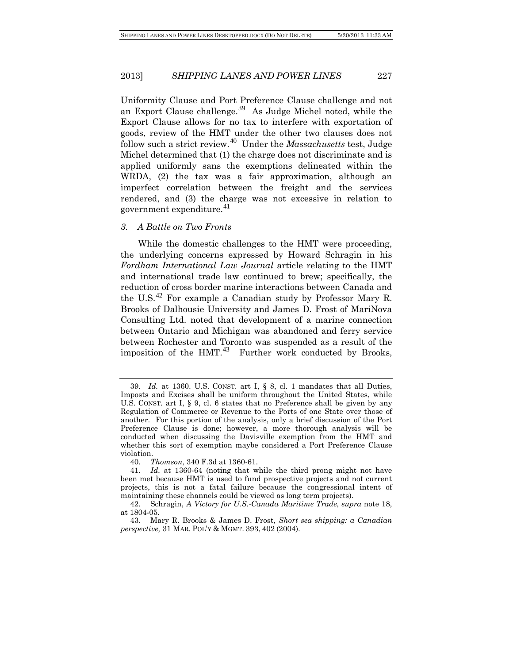Uniformity Clause and Port Preference Clause challenge and not an Export Clause challenge.<sup>[39](#page-8-0)</sup> As Judge Michel noted, while the Export Clause allows for no tax to interfere with exportation of goods, review of the HMT under the other two clauses does not follow such a strict review.[40](#page-8-1) Under the *Massachusetts* test, Judge Michel determined that (1) the charge does not discriminate and is applied uniformly sans the exemptions delineated within the WRDA, (2) the tax was a fair approximation, although an imperfect correlation between the freight and the services rendered, and (3) the charge was not excessive in relation to government expenditure.<sup>[41](#page-8-2)</sup>

#### *3. A Battle on Two Fronts*

While the domestic challenges to the HMT were proceeding, the underlying concerns expressed by Howard Schragin in his *Fordham International Law Journal* article relating to the HMT and international trade law continued to brew; specifically, the reduction of cross border marine interactions between Canada and the U.S.[42](#page-8-3) For example a Canadian study by Professor Mary R. Brooks of Dalhousie University and James D. Frost of MariNova Consulting Ltd. noted that development of a marine connection between Ontario and Michigan was abandoned and ferry service between Rochester and Toronto was suspended as a result of the imposition of the  $HMT<sup>43</sup>$  $HMT<sup>43</sup>$  $HMT<sup>43</sup>$  Further work conducted by Brooks,

<span id="page-8-0"></span><sup>39</sup>*. Id.* at 1360. U.S. CONST. art I, § 8, cl. 1 mandates that all Duties, Imposts and Excises shall be uniform throughout the United States, while U.S. CONST. art I, § 9, cl. 6 states that no Preference shall be given by any Regulation of Commerce or Revenue to the Ports of one State over those of another. For this portion of the analysis, only a brief discussion of the Port Preference Clause is done; however, a more thorough analysis will be conducted when discussing the Davisville exemption from the HMT and whether this sort of exemption maybe considered a Port Preference Clause violation.

<sup>40.</sup> *Thomson*, 340 F.3d at 1360-61.

<span id="page-8-2"></span><span id="page-8-1"></span><sup>41.</sup> *Id.* at 1360-64 (noting that while the third prong might not have been met because HMT is used to fund prospective projects and not current projects, this is not a fatal failure because the congressional intent of maintaining these channels could be viewed as long term projects).

<span id="page-8-3"></span><sup>42.</sup> Schragin, *A Victory for U.S.-Canada Maritime Trade, supra* note 18, at 1804-05.

<span id="page-8-4"></span><sup>43.</sup> Mary R. Brooks & James D. Frost, *Short sea shipping: a Canadian perspective,* 31 MAR. POL'Y & MGMT. 393, 402 (2004).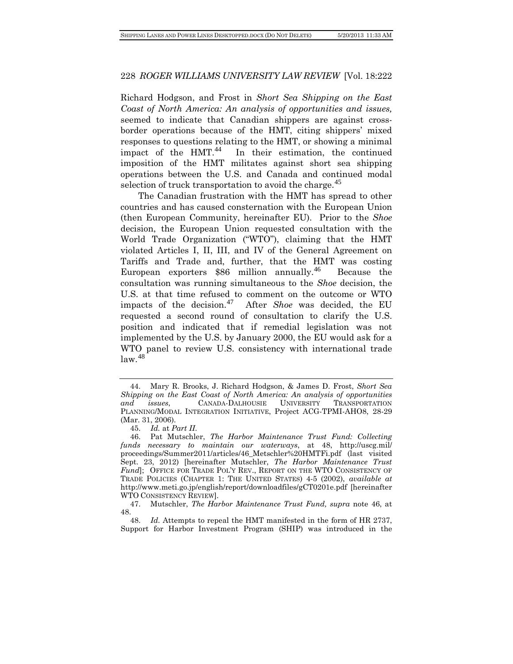Richard Hodgson, and Frost in *Short Sea Shipping on the East Coast of North America: An analysis of opportunities and issues,* seemed to indicate that Canadian shippers are against crossborder operations because of the HMT, citing shippers' mixed responses to questions relating to the HMT, or showing a minimal impact of the  $HMT<sup>44</sup>$  $HMT<sup>44</sup>$  $HMT<sup>44</sup>$  In their estimation, the continued imposition of the HMT militates against short sea shipping operations between the U.S. and Canada and continued modal selection of truck transportation to avoid the charge.  $45$ 

The Canadian frustration with the HMT has spread to other countries and has caused consternation with the European Union (then European Community, hereinafter EU). Prior to the *Shoe* decision, the European Union requested consultation with the World Trade Organization ("WTO"), claiming that the HMT violated Articles I, II, III, and IV of the General Agreement on Tariffs and Trade and, further, that the HMT was costing European exporters \$86 million annually.<sup>[46](#page-9-2)</sup> Because the consultation was running simultaneous to the *Shoe* decision, the U.S. at that time refused to comment on the outcome or WTO impacts of the decision.[47](#page-9-3) After *Shoe* was decided, the EU requested a second round of consultation to clarify the U.S. position and indicated that if remedial legislation was not implemented by the U.S. by January 2000, the EU would ask for a WTO panel to review U.S. consistency with international trade  $law.<sup>48</sup>$  $law.<sup>48</sup>$  $law.<sup>48</sup>$ 

<span id="page-9-0"></span><sup>44.</sup> Mary R. Brooks, J. Richard Hodgson, & James D. Frost, *Short Sea Shipping on the East Coast of North America: An analysis of opportunities and issues*, CANADA-DALHOUSIE UNIVERSITY TRANSPORTATION PLANNING/MODAL INTEGRATION INITIATIVE, Project ACG-TPMI-AHO8, 28-29 (Mar. 31, 2006).

<sup>45.</sup> *Id.* at *Part II*.

<span id="page-9-2"></span><span id="page-9-1"></span><sup>46.</sup> Pat Mutschler, *The Harbor Maintenance Trust Fund: Collecting funds necessary to maintain our waterways*, at 48, http://uscg.mil/ proceedings/Summer2011/articles/46\_Metschler%20HMTFi.pdf (last visited Sept. 23, 2012) [hereinafter Mutschler, *The Harbor Maintenance Trust*  Fund]; OFFICE FOR TRADE POL'Y REV., REPORT ON THE WTO CONSISTENCY OF TRADE POLICIES (CHAPTER 1: THE UNITED STATES) 4-5 (2002), *available at*  http://www.meti.go.jp/english/report/downloadfiles/gCT0201e.pdf [hereinafter WTO CONSISTENCY REVIEW].

<span id="page-9-3"></span><sup>47.</sup> Mutschler, *The Harbor Maintenance Trust Fund, supra* note 46, at  $\frac{48.}{48.}$ 

<span id="page-9-4"></span>Id. Attempts to repeal the HMT manifested in the form of HR 2737, Support for Harbor Investment Program (SHIP) was introduced in the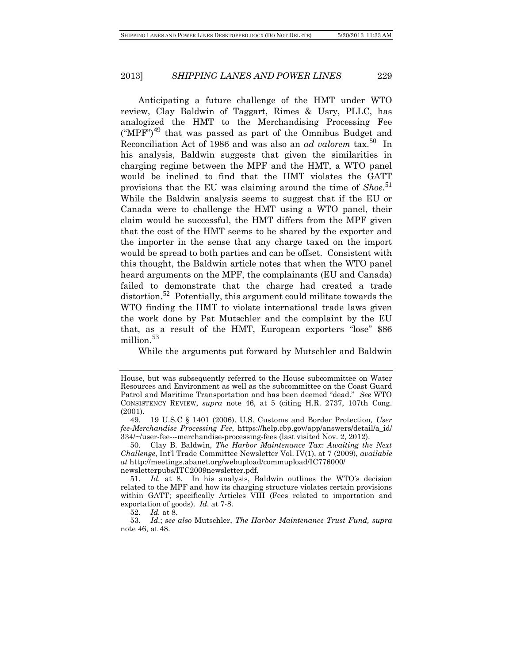Anticipating a future challenge of the HMT under WTO review, Clay Baldwin of Taggart, Rimes & Usry, PLLC, has analogized the HMT to the Merchandising Processing Fee  $("MPF")^{49}$  $("MPF")^{49}$  $("MPF")^{49}$  that was passed as part of the Omnibus Budget and Reconciliation Act of 1986 and was also an *ad valorem* tax.<sup>[50](#page-10-1)</sup> In his analysis, Baldwin suggests that given the similarities in charging regime between the MPF and the HMT, a WTO panel would be inclined to find that the HMT violates the GATT provisions that the EU was claiming around the time of *Shoe*.<sup>[51](#page-10-2)</sup> While the Baldwin analysis seems to suggest that if the EU or Canada were to challenge the HMT using a WTO panel, their claim would be successful, the HMT differs from the MPF given that the cost of the HMT seems to be shared by the exporter and the importer in the sense that any charge taxed on the import would be spread to both parties and can be offset. Consistent with this thought, the Baldwin article notes that when the WTO panel heard arguments on the MPF, the complainants (EU and Canada) failed to demonstrate that the charge had created a trade distortion.<sup>[52](#page-10-3)</sup> Potentially, this argument could militate towards the WTO finding the HMT to violate international trade laws given the work done by Pat Mutschler and the complaint by the EU that, as a result of the HMT, European exporters "lose" \$86 million.<sup>[53](#page-10-4)</sup>

While the arguments put forward by Mutschler and Baldwin

House, but was subsequently referred to the House subcommittee on Water Resources and Environment as well as the subcommittee on the Coast Guard Patrol and Maritime Transportation and has been deemed "dead." *See* WTO CONSISTENCY REVIEW, *supra* note 46, at 5 (citing H.R. 2737, 107th Cong. (2001).

<span id="page-10-0"></span><sup>49.</sup> 19 U.S.C § 1401 (2006). U.S. Customs and Border Protection*, User fee-Merchandise Processing Fee*, [https://help.cbp.gov/app/answers/detail/a\\_id/](https://help.cbp.gov/app/answers/detail/a_id/334/~/user-fee---merchandise-processing-fees) [334/~/user-fee---merchandise-processing-fees](https://help.cbp.gov/app/answers/detail/a_id/334/~/user-fee---merchandise-processing-fees) (last visited Nov. 2, 2012).

<span id="page-10-1"></span><sup>50.</sup> Clay B. Baldwin, *The Harbor Maintenance Tax: Awaiting the Next Challenge*, Int'l Trade Committee Newsletter Vol. IV(1), at 7 (2009), *available at* http://meetings.abanet.org/webupload/commupload/IC776000/ newsletterpubs/ITC2009newsletter.pdf.

<span id="page-10-2"></span><sup>51.</sup> *Id.* at 8. In his analysis, Baldwin outlines the WTO's decision related to the MPF and how its charging structure violates certain provisions within GATT; specifically Articles VIII (Fees related to importation and exportation of goods). *Id.* at 7-8.

<sup>52.</sup> *Id.* at 8.

<span id="page-10-4"></span><span id="page-10-3"></span><sup>53.</sup> *Id.*; *see also* Mutschler, *The Harbor Maintenance Trust Fund, supra* note 46, at 48.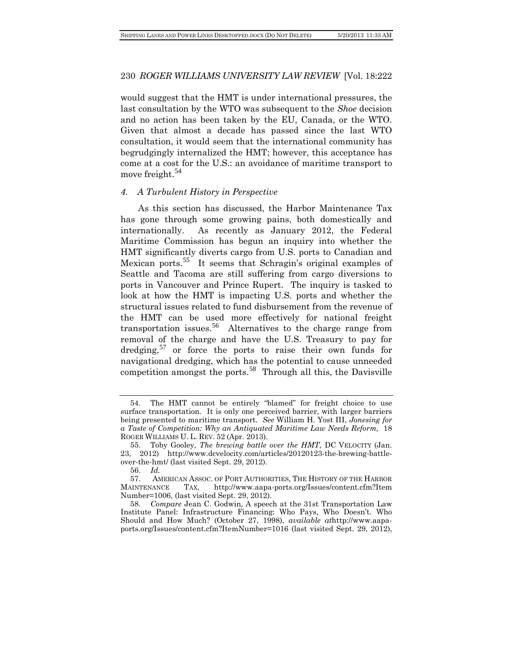would suggest that the HMT is under international pressures, the last consultation by the WTO was subsequent to the *Shoe* decision and no action has been taken by the EU, Canada, or the WTO. Given that almost a decade has passed since the last WTO consultation, it would seem that the international community has begrudgingly internalized the HMT; however, this acceptance has come at a cost for the U.S.: an avoidance of maritime transport to move freight.<sup>[54](#page-11-0)</sup>

#### *4. A Turbulent History in Perspective*

As this section has discussed, the Harbor Maintenance Tax has gone through some growing pains, both domestically and internationally. As recently as January 2012, the Federal Maritime Commission has begun an inquiry into whether the HMT significantly diverts cargo from U.S. ports to Canadian and Mexican ports.<sup>[55](#page-11-1)</sup> It seems that Schragin's original examples of Seattle and Tacoma are still suffering from cargo diversions to ports in Vancouver and Prince Rupert. The inquiry is tasked to look at how the HMT is impacting U.S. ports and whether the structural issues related to fund disbursement from the revenue of the HMT can be used more effectively for national freight transportation issues.[56](#page-11-2) Alternatives to the charge range from removal of the charge and have the U.S. Treasury to pay for dredging,  $57$  or force the ports to raise their own funds for navigational dredging, which has the potential to cause unneeded competition amongst the ports.<sup>[58](#page-11-4)</sup> Through all this, the Davisville

<span id="page-11-0"></span><sup>54.</sup> The HMT cannot be entirely "blamed" for freight choice to use surface transportation. It is only one perceived barrier, with larger barriers being presented to maritime transport. *See* William H. Yost III, *Jonesing for a Taste of Competition: Why an Antiquated Maritime Law Needs Reform,* 18 ROGER WILLIAMS U. L. REV. 52 (Apr. 2013).

<span id="page-11-1"></span><sup>55.</sup> Toby Gooley, *The brewing battle over the HMT*, DC VELOCITY (Jan. 23, 2012) [http://www.dcvelocity.com/articles/20120123-the-brewing-battle](http://www.dcvelocity.com/articles/20120123-the-brewing-battle-over-the-hmt/)[over-the-hmt/](http://www.dcvelocity.com/articles/20120123-the-brewing-battle-over-the-hmt/) (last visited Sept. 29, 2012).

<sup>56.</sup> *Id.*

<span id="page-11-3"></span><span id="page-11-2"></span>AMERICAN ASSOC. OF PORT AUTHORITIES, THE HISTORY OF THE HARBOR MAINTENANCE TAX, http://www.aapa-ports.org/Issues/content.cfm?Item Number=1006, (last visited Sept. 29, 2012).

<span id="page-11-4"></span><sup>58.</sup> *Compare* Jean C. Godwin, A speech at the 31st Transportation Law Institute Panel: Infrastructure Financing: Who Pays, Who Doesn't. Who Should and How Much? (October 27, 1998), *available at*http://www.aapaports.org/Issues/content.cfm?ItemNumber=1016 (last visited Sept. 29, 2012),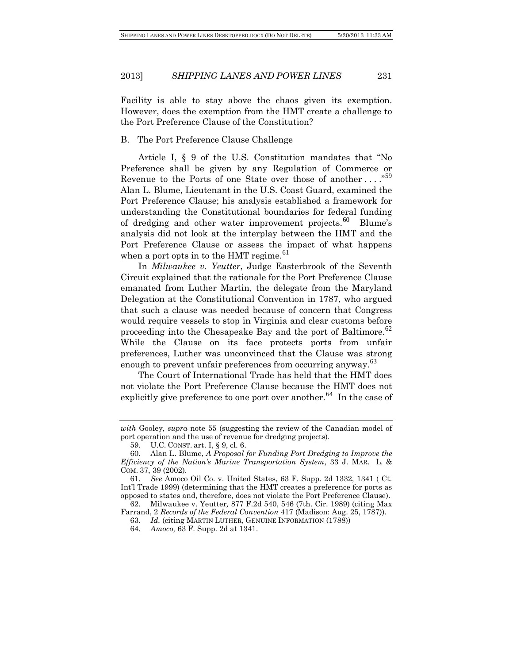Facility is able to stay above the chaos given its exemption. However, does the exemption from the HMT create a challenge to the Port Preference Clause of the Constitution?

## B. The Port Preference Clause Challenge

Article I, § 9 of the U.S. Constitution mandates that "No Preference shall be given by any Regulation of Commerce or Revenue to the Ports of one State over those of another ...."<sup>[59](#page-12-0)</sup> Alan L. Blume, Lieutenant in the U.S. Coast Guard, examined the Port Preference Clause; his analysis established a framework for understanding the Constitutional boundaries for federal funding of dredging and other water improvement projects.<sup>[60](#page-12-1)</sup> Blume's analysis did not look at the interplay between the HMT and the Port Preference Clause or assess the impact of what happens when a port opts in to the HMT regime.<sup>[61](#page-12-2)</sup>

In *Milwaukee v. Yeutter*, Judge Easterbrook of the Seventh Circuit explained that the rationale for the Port Preference Clause emanated from Luther Martin, the delegate from the Maryland Delegation at the Constitutional Convention in 1787, who argued that such a clause was needed because of concern that Congress would require vessels to stop in Virginia and clear customs before proceeding into the Chesapeake Bay and the port of Baltimore.<sup>[62](#page-12-3)</sup> While the Clause on its face protects ports from unfair preferences, Luther was unconvinced that the Clause was strong enough to prevent unfair preferences from occurring anyway.<sup>[63](#page-12-4)</sup>

The Court of International Trade has held that the HMT does not violate the Port Preference Clause because the HMT does not explicitly give preference to one port over another.<sup>[64](#page-12-5)</sup> In the case of

*with* Gooley, *supra* note 55 (suggesting the review of the Canadian model of port operation and the use of revenue for dredging projects).

<sup>59.</sup> U.C. CONST. art. I, § 9, cl. 6.

<span id="page-12-1"></span><span id="page-12-0"></span><sup>60.</sup> Alan L. Blume, *A Proposal for Funding Port Dredging to Improve the Efficiency of the Nation's Marine Transportation System*, 33 J. MAR. L. & COM. 37, 39 (2002).

<span id="page-12-2"></span><sup>61.</sup> *See* Amoco Oil Co. v. United States, 63 F. Supp. 2d 1332, 1341 ( Ct. Int'l Trade 1999) (determining that the HMT creates a preference for ports as opposed to states and, therefore, does not violate the Port Preference Clause).

<span id="page-12-5"></span><span id="page-12-4"></span><span id="page-12-3"></span><sup>62.</sup> Milwaukee v. Yeutter*,* 877 F.2d 540, 546 (7th. Cir. 1989) (citing Max Farrand, 2 *Records of the Federal Convention* 417 (Madison: Aug. 25, 1787)).

<sup>63.</sup> *Id.* (citing MARTIN LUTHER, GENUINE INFORMATION (1788))

<sup>64.</sup> *Amoco,* 63 F. Supp. 2d at 1341.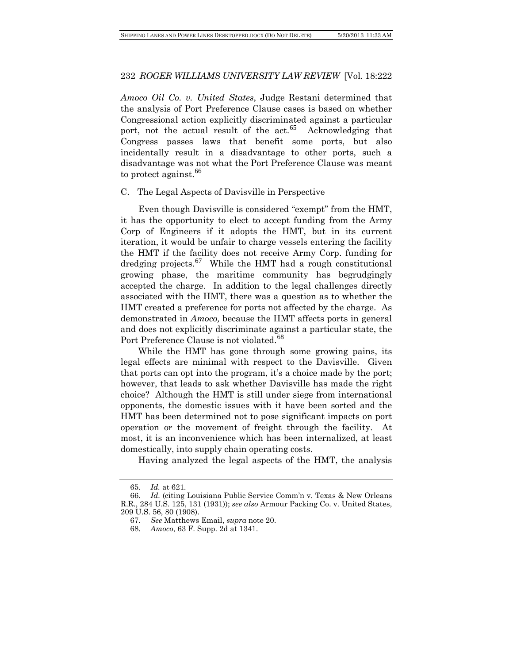*Amoco Oil Co. v. United States*, Judge Restani determined that the analysis of Port Preference Clause cases is based on whether Congressional action explicitly discriminated against a particular port, not the actual result of the  $act<sup>65</sup>$  $act<sup>65</sup>$  $act<sup>65</sup>$  Acknowledging that Congress passes laws that benefit some ports, but also incidentally result in a disadvantage to other ports, such a disadvantage was not what the Port Preference Clause was meant to protect against.<sup>[66](#page-13-1)</sup>

#### C. The Legal Aspects of Davisville in Perspective

Even though Davisville is considered "exempt" from the HMT, it has the opportunity to elect to accept funding from the Army Corp of Engineers if it adopts the HMT, but in its current iteration, it would be unfair to charge vessels entering the facility the HMT if the facility does not receive Army Corp. funding for dredging projects.<sup>[67](#page-13-2)</sup> While the HMT had a rough constitutional growing phase, the maritime community has begrudgingly accepted the charge. In addition to the legal challenges directly associated with the HMT, there was a question as to whether the HMT created a preference for ports not affected by the charge. As demonstrated in *Amoco,* because the HMT affects ports in general and does not explicitly discriminate against a particular state, the Port Preference Clause is not violated.<sup>[68](#page-13-3)</sup>

While the HMT has gone through some growing pains, its legal effects are minimal with respect to the Davisville. Given that ports can opt into the program, it's a choice made by the port; however, that leads to ask whether Davisville has made the right choice? Although the HMT is still under siege from international opponents, the domestic issues with it have been sorted and the HMT has been determined not to pose significant impacts on port operation or the movement of freight through the facility. At most, it is an inconvenience which has been internalized, at least domestically, into supply chain operating costs.

Having analyzed the legal aspects of the HMT, the analysis

<sup>65.</sup> *Id.* at 621*.*

<span id="page-13-3"></span><span id="page-13-2"></span><span id="page-13-1"></span><span id="page-13-0"></span><sup>66.</sup> *Id.* (citing Louisiana Public Service Comm'n v. Texas & New Orleans R.R., 284 U.S. 125, 131 (1931)); *see also* Armour Packing Co. v. United States, 209 U.S. 56, 80 (1908).

<sup>67.</sup> *See* Matthews Email, *supra* note 20.

<sup>68.</sup> *Amoco*, 63 F. Supp. 2d at 1341.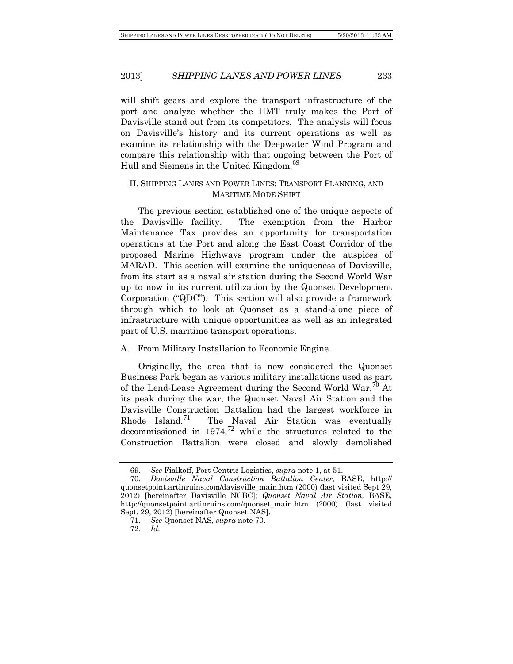will shift gears and explore the transport infrastructure of the port and analyze whether the HMT truly makes the Port of Davisville stand out from its competitors. The analysis will focus on Davisville's history and its current operations as well as examine its relationship with the Deepwater Wind Program and compare this relationship with that ongoing between the Port of Hull and Siemens in the United Kingdom.<sup>[69](#page-14-0)</sup>

# II. SHIPPING LANES AND POWER LINES: TRANSPORT PLANNING, AND MARITIME MODE SHIFT

The previous section established one of the unique aspects of the Davisville facility. The exemption from the Harbor Maintenance Tax provides an opportunity for transportation operations at the Port and along the East Coast Corridor of the proposed Marine Highways program under the auspices of MARAD. This section will examine the uniqueness of Davisville, from its start as a naval air station during the Second World War up to now in its current utilization by the Quonset Development Corporation ("QDC"). This section will also provide a framework through which to look at Quonset as a stand-alone piece of infrastructure with unique opportunities as well as an integrated part of U.S. maritime transport operations.

#### A. From Military Installation to Economic Engine

Originally, the area that is now considered the Quonset Business Park began as various military installations used as part of the Lend-Lease Agreement during the Second World War.<sup>[70](#page-14-1)</sup> At its peak during the war, the Quonset Naval Air Station and the Davisville Construction Battalion had the largest workforce in Rhode Island.<sup>[71](#page-14-2)</sup> The Naval Air Station was eventually decommissioned in  $1974<sup>72</sup>$  $1974<sup>72</sup>$  $1974<sup>72</sup>$  while the structures related to the Construction Battalion were closed and slowly demolished

<sup>69.</sup> *See* Fialkoff, Port Centric Logistics, *supra* note 1, at 51.

<span id="page-14-2"></span><span id="page-14-1"></span><span id="page-14-0"></span><sup>70.</sup> *Davisville Naval Construction Battalion Center*, BASE, [http://](http://quonsetpoint.artinruins.com/davisville_main.htm) [quonsetpoint.artinruins.com/davisville\\_main.htm](http://quonsetpoint.artinruins.com/davisville_main.htm) (2000) (last visited Sept 29, 2012) [hereinafter Davisville NCBC]; *Quonset Naval Air Station,* BASE, [http://quonsetpoint.artinruins.com/quonset\\_main.htm](http://quonsetpoint.artinruins.com/quonset_main.htm) (2000) (last visited Sept. 29, 2012) [hereinafter Quonset NAS].

<sup>71.</sup> *See* Quonset NAS, *supra* note 70.

<span id="page-14-3"></span><sup>72.</sup> *Id.*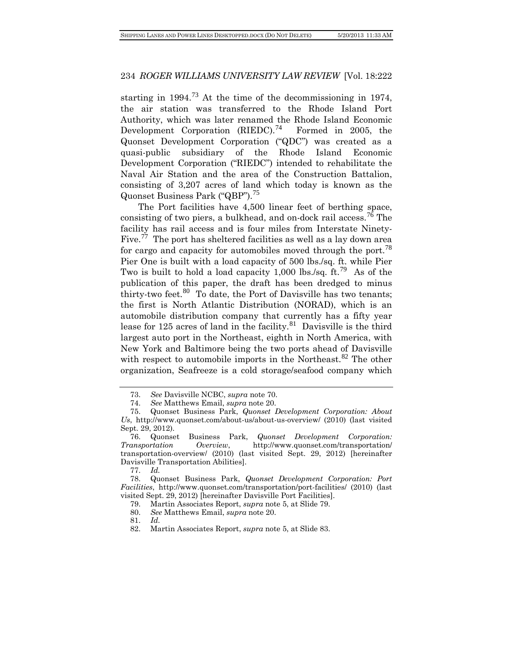starting in  $1994<sup>73</sup>$  $1994<sup>73</sup>$  $1994<sup>73</sup>$  At the time of the decommissioning in 1974, the air station was transferred to the Rhode Island Port Authority, which was later renamed the Rhode Island Economic Development Corporation  $(RIEDC).<sup>74</sup>$  $(RIEDC).<sup>74</sup>$  $(RIEDC).<sup>74</sup>$  Formed in 2005, the Quonset Development Corporation ("QDC") was created as a quasi-public subsidiary of the Rhode Island Economic Development Corporation ("RIEDC") intended to rehabilitate the Naval Air Station and the area of the Construction Battalion, consisting of 3,207 acres of land which today is known as the Quonset Business Park ("QBP").[75](#page-15-2)

The Port facilities have 4,500 linear feet of berthing space, consisting of two piers, a bulkhead, and on-dock rail access.<sup>[76](#page-15-3)</sup> The facility has rail access and is four miles from Interstate Ninety-Five.<sup>[77](#page-15-4)</sup> The port has sheltered facilities as well as a lay down area for cargo and capacity for automobiles moved through the port.<sup>[78](#page-15-5)</sup> Pier One is built with a load capacity of 500 lbs./sq. ft. while Pier Two is built to hold a load capacity 1,000 lbs./sq. ft.<sup>[79](#page-15-6)</sup> As of the publication of this paper, the draft has been dredged to minus thirty-two feet. $80$  To date, the Port of Davisville has two tenants; the first is North Atlantic Distribution (NORAD), which is an automobile distribution company that currently has a fifty year lease for 125 acres of land in the facility.<sup>[81](#page-15-8)</sup> Davisville is the third largest auto port in the Northeast, eighth in North America, with New York and Baltimore being the two ports ahead of Davisville with respect to automobile imports in the Northeast.<sup>[82](#page-15-9)</sup> The other organization, Seafreeze is a cold storage/seafood company which

77. *Id.*

<sup>73.</sup> *See* Davisville NCBC, *supra* note 70.

<sup>74.</sup> *See* Matthews Email, *supra* note 20.

<span id="page-15-2"></span><span id="page-15-1"></span><span id="page-15-0"></span><sup>75.</sup> Quonset Business Park, *Quonset Development Corporation: About Us*,<http://www.quonset.com/about-us/about-us-overview/> (2010) (last visited Sept. 29, 2012).

<span id="page-15-3"></span><sup>76.</sup> Quonset Business Park, *Quonset Development Corporation: Transportation Overview*, http://www.quonset.com/transportation/ transportation-overview/ (2010) (last visited Sept. 29, 2012) [hereinafter Davisville Transportation Abilities].

<span id="page-15-8"></span><span id="page-15-7"></span><span id="page-15-6"></span><span id="page-15-5"></span><span id="page-15-4"></span><sup>78.</sup> Quonset Business Park, *Quonset Development Corporation: Port Facilities*, http://www.quonset.com/transportation/port-facilities/ (2010) (last visited Sept. 29, 2012) [hereinafter Davisville Port Facilities].

<sup>79.</sup> Martin Associates Report, *supra* note 5, at Slide 79.

<sup>80.</sup> *See* Matthews Email, *supra* note 20.

<sup>81.</sup> *Id.*

<span id="page-15-9"></span><sup>82.</sup> Martin Associates Report, *supra* note 5, at Slide 83.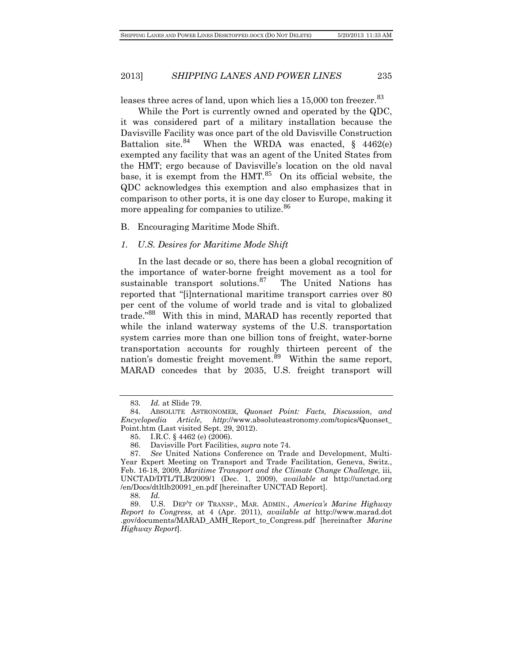leases three acres of land, upon which lies a  $15,000$  ton freezer.<sup>[83](#page-16-0)</sup>

While the Port is currently owned and operated by the QDC, it was considered part of a military installation because the Davisville Facility was once part of the old Davisville Construction Battalion site.<sup>[84](#page-16-1)</sup> When the WRDA was enacted,  $\S$  4462(e) exempted any facility that was an agent of the United States from the HMT; ergo because of Davisville's location on the old naval base, it is exempt from the  $HMT<sup>85</sup>$  $HMT<sup>85</sup>$  $HMT<sup>85</sup>$  On its official website, the QDC acknowledges this exemption and also emphasizes that in comparison to other ports, it is one day closer to Europe, making it more appealing for companies to utilize.<sup>[86](#page-16-3)</sup>

#### B. Encouraging Maritime Mode Shift.

#### *1. U.S. Desires for Maritime Mode Shift*

In the last decade or so, there has been a global recognition of the importance of water-borne freight movement as a tool for sustainable transport solutions.<sup>[87](#page-16-4)</sup> The United Nations has reported that "[i]nternational maritime transport carries over 80 per cent of the volume of world trade and is vital to globalized trade." [88](#page-16-5) With this in mind, MARAD has recently reported that while the inland waterway systems of the U.S. transportation system carries more than one billion tons of freight, water-borne transportation accounts for roughly thirteen percent of the nation's domestic freight movement.<sup>[89](#page-16-6)</sup> Within the same report, MARAD concedes that by 2035, U.S. freight transport will

<sup>83.</sup> *Id.* at Slide 79.

<span id="page-16-1"></span><span id="page-16-0"></span><sup>84.</sup> ABSOLUTE ASTRONOMER, *Quonset Point: Facts, Discussion, and Encyclopedia Article*, *http*://www.absoluteastronomy.com/topics/Quonset\_ Point.htm (Last visited Sept. 29, 2012).

<sup>85.</sup> I.R.C. § 4462 (e) (2006).

<sup>86.</sup> Davisville Port Facilities, *supra* note 74.

<span id="page-16-4"></span><span id="page-16-3"></span><span id="page-16-2"></span><sup>87.</sup> *See* United Nations Conference on Trade and Development, Multi-Year Expert Meeting on Transport and Trade Facilitation, Geneva, Switz., Feb. 16-18, 2009, *Maritime Transport and the Climate Change Challenge,* iii, UNCTAD/DTL/TLB/2009/1 (Dec. 1, 2009), *available at* http://unctad.org /en/Docs/dtltlb20091\_en.pdf [hereinafter UNCTAD Report].

<span id="page-16-6"></span><span id="page-16-5"></span><sup>88.</sup> *Id.* 89. U.S. DEP'T OF TRANSP., MAR. ADMIN., *America's Marine Highway Report to Congress*, at 4 (Apr. 2011), *available at* http://www.marad.dot .gov/documents/MARAD\_AMH\_Report\_to\_Congress.pdf [hereinafter *Marine Highway Report*].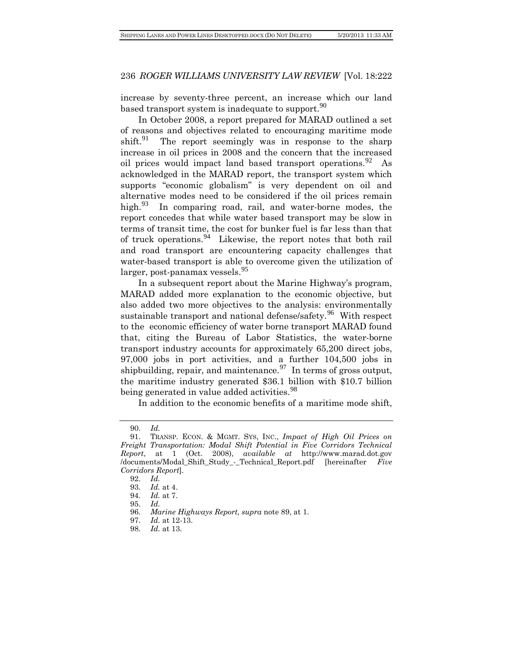increase by seventy-three percent, an increase which our land based transport system is inadequate to support.<sup>[90](#page-17-0)</sup>

In October 2008, a report prepared for MARAD outlined a set of reasons and objectives related to encouraging maritime mode shift.<sup>[91](#page-17-1)</sup> The report seemingly was in response to the sharp increase in oil prices in 2008 and the concern that the increased oil prices would impact land based transport operations.<sup>[92](#page-17-2)</sup> As acknowledged in the MARAD report, the transport system which supports "economic globalism" is very dependent on oil and alternative modes need to be considered if the oil prices remain high. $93$  In comparing road, rail, and water-borne modes, the report concedes that while water based transport may be slow in terms of transit time, the cost for bunker fuel is far less than that of truck operations.<sup>[94](#page-17-4)</sup> Likewise, the report notes that both rail and road transport are encountering capacity challenges that water-based transport is able to overcome given the utilization of  $larger, post-panamar vessels.<sup>95</sup>$  $larger, post-panamar vessels.<sup>95</sup>$  $larger, post-panamar vessels.<sup>95</sup>$ 

In a subsequent report about the Marine Highway's program, MARAD added more explanation to the economic objective, but also added two more objectives to the analysis: environmentally sustainable transport and national defense/safety.<sup>[96](#page-17-6)</sup> With respect to the economic efficiency of water borne transport MARAD found that, citing the Bureau of Labor Statistics, the water-borne transport industry accounts for approximately 65,200 direct jobs, 97,000 jobs in port activities, and a further 104,500 jobs in shipbuilding, repair, and maintenance.  $\frac{97}{1}$  $\frac{97}{1}$  $\frac{97}{1}$  In terms of gross output, the maritime industry generated \$36.1 billion with \$10.7 billion being generated in value added activities.<sup>[98](#page-17-8)</sup>

In addition to the economic benefits of a maritime mode shift,

<sup>90.</sup> *Id.*

<span id="page-17-3"></span><span id="page-17-2"></span><span id="page-17-1"></span><span id="page-17-0"></span><sup>91.</sup> TRANSP. ECON. & MGMT. SYS, INC., *Impact of High Oil Prices on Freight Transportation: Modal Shift Potential in Five Corridors Technical Report*, at 1 (Oct. 2008), *available at* http://www.marad.dot.gov /documents/Modal\_Shift\_Study\_-\_Technical\_Report.pdf [hereinafter *Five Corridors Report*].

<sup>92.</sup> *Id.*

*Id.* at 4.

<span id="page-17-4"></span><sup>94.</sup> *Id.* at 7.

<sup>95.</sup> *Id.*

<span id="page-17-7"></span><span id="page-17-6"></span><span id="page-17-5"></span><sup>96.</sup> *Marine Highways Report, supra* note 89, at 1.

<sup>97.</sup> *Id.* at 12-13.

<span id="page-17-8"></span><sup>98.</sup> *Id.* at 13.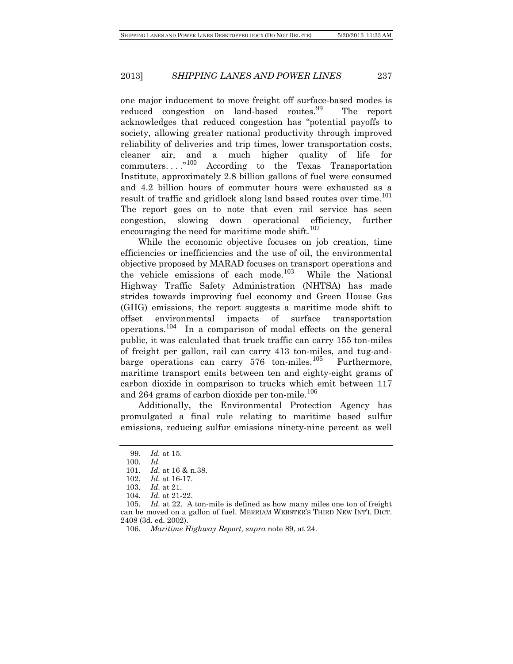one major inducement to move freight off surface-based modes is reduced congestion on land-based routes.<sup>[99](#page-18-0)</sup> The report acknowledges that reduced congestion has "potential payoffs to society, allowing greater national productivity through improved reliability of deliveries and trip times, lower transportation costs, cleaner air, and a much higher quality of life for commuters...."<sup>100</sup> According to the Texas Transportation According to the Texas Transportation Institute, approximately 2.8 billion gallons of fuel were consumed and 4.2 billion hours of commuter hours were exhausted as a result of traffic and gridlock along land based routes over time.<sup>[101](#page-18-2)</sup> The report goes on to note that even rail service has seen congestion, slowing down operational efficiency, further encouraging the need for maritime mode shift.<sup>[102](#page-18-3)</sup>

While the economic objective focuses on job creation, time efficiencies or inefficiencies and the use of oil, the environmental objective proposed by MARAD focuses on transport operations and the vehicle emissions of each mode. $103$  While the National Highway Traffic Safety Administration (NHTSA) has made strides towards improving fuel economy and Green House Gas (GHG) emissions, the report suggests a maritime mode shift to offset environmental impacts of surface transportation operations.[104](#page-18-5) In a comparison of modal effects on the general public, it was calculated that truck traffic can carry 155 ton-miles of freight per gallon, rail can carry 413 ton-miles, and tug-andbarge operations can carry  $576$  ton-miles.<sup>[105](#page-18-6)</sup> Furthermore, maritime transport emits between ten and eighty-eight grams of carbon dioxide in comparison to trucks which emit between 117 and 264 grams of carbon dioxide per ton-mile.<sup>[106](#page-18-7)</sup>

Additionally, the Environmental Protection Agency has promulgated a final rule relating to maritime based sulfur emissions, reducing sulfur emissions ninety-nine percent as well

<sup>99.</sup> *Id.* at 15.

<span id="page-18-1"></span><span id="page-18-0"></span><sup>100.</sup> *Id.*

<sup>101.</sup> *Id.* at 16 & n.38.<br>102. *Id.* at 16-17.

*Id.* at 16-17.

<sup>103.</sup> *Id.* at 21.

<sup>104.</sup> *Id.* at 21-22.

<span id="page-18-7"></span><span id="page-18-6"></span><span id="page-18-5"></span><span id="page-18-4"></span><span id="page-18-3"></span><span id="page-18-2"></span><sup>105.</sup> *Id.* at 22. A ton-mile is defined as how many miles one ton of freight can be moved on a gallon of fuel. MERRIAM WEBSTER'S THIRD NEW INT'L DICT. 2408 (3d. ed. 2002).

<sup>106.</sup> *Maritime Highway Report, supra* note 89, at 24.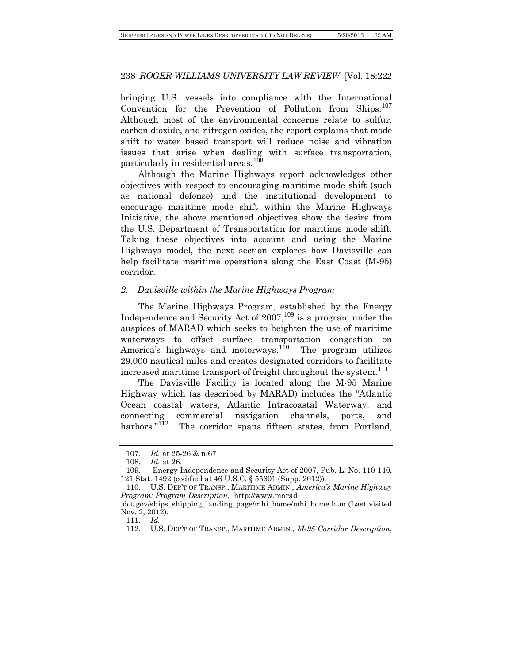bringing U.S. vessels into compliance with the International Convention for the Prevention of Pollution from Ships.<sup>[107](#page-19-0)</sup> Although most of the environmental concerns relate to sulfur, carbon dioxide, and nitrogen oxides, the report explains that mode shift to water based transport will reduce noise and vibration issues that arise when dealing with surface transportation, particularly in residential areas.<sup>[108](#page-19-1)</sup>

Although the Marine Highways report acknowledges other objectives with respect to encouraging maritime mode shift (such as national defense) and the institutional development to encourage maritime mode shift within the Marine Highways Initiative, the above mentioned objectives show the desire from the U.S. Department of Transportation for maritime mode shift. Taking these objectives into account and using the Marine Highways model, the next section explores how Davisville can help facilitate maritime operations along the East Coast (M-95) corridor.

## *2. Davisville within the Marine Highways Program*

The Marine Highways Program, established by the Energy Independence and Security Act of  $2007$ ,  $^{109}$  $^{109}$  $^{109}$  is a program under the auspices of MARAD which seeks to heighten the use of maritime waterways to offset surface transportation congestion on America's highways and motorways.<sup>[110](#page-19-3)</sup> The program utilizes 29,000 nautical miles and creates designated corridors to facilitate increased maritime transport of freight throughout the system.<sup>[111](#page-19-4)</sup>

The Davisville Facility is located along the M-95 Marine Highway which (as described by MARAD) includes the "Atlantic Ocean coastal waters, Atlantic Intracoastal Waterway, and connecting commercial navigation channels, ports, and harbors."<sup>[112](#page-19-5)</sup> The corridor spans fifteen states, from Portland,

<sup>107.</sup> *Id.* at 25-26 & n.67

<sup>108.</sup> *Id.* at 26.

<span id="page-19-2"></span><span id="page-19-1"></span><span id="page-19-0"></span><sup>109.</sup> Energy Independence and Security Act of 2007, Pub. L. No. 110-140, 121 Stat. 1492 (codified at 46 U.S.C. § 55601 (Supp. 2012)).

<span id="page-19-3"></span><sup>110.</sup> U.S. DEP'T OF TRANSP., MARITIME ADMIN., *America's Marine Highway Program: Program Description*, http://www.marad

<span id="page-19-5"></span><span id="page-19-4"></span><sup>.</sup>dot.gov/ships\_shipping\_landing\_page/mhi\_home/mhi\_home.htm (Last visited Nov. 2, 2012).

<sup>111.</sup> *Id.*

<sup>112.</sup> U.S. DEP'T OF TRANSP., MARITIME ADMIN., *M-95 Corridor Description*,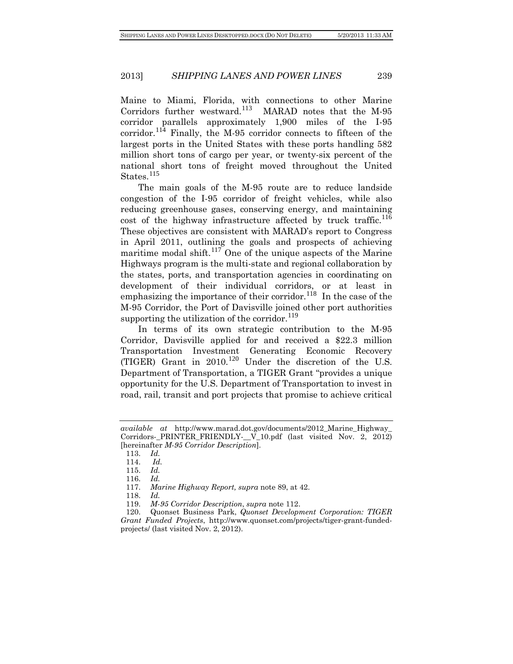Maine to Miami, Florida, with connections to other Marine Corridors further westward.<sup>[113](#page-20-0)</sup> MARAD notes that the M-95 corridor parallels approximately 1,900 miles of the I-95 corridor.<sup>[114](#page-20-1)</sup> Finally, the M-95 corridor connects to fifteen of the largest ports in the United States with these ports handling 582 million short tons of cargo per year, or twenty-six percent of the national short tons of freight moved throughout the United States.<sup>[115](#page-20-2)</sup>

The main goals of the M-95 route are to reduce landside congestion of the I-95 corridor of freight vehicles, while also reducing greenhouse gases, conserving energy, and maintaining cost of the highway infrastructure affected by truck traffic.<sup>[116](#page-20-3)</sup> These objectives are consistent with MARAD's report to Congress in April 2011, outlining the goals and prospects of achieving maritime modal shift.<sup>[117](#page-20-4)</sup> One of the unique aspects of the Marine Highways program is the multi-state and regional collaboration by the states, ports, and transportation agencies in coordinating on development of their individual corridors, or at least in emphasizing the importance of their corridor.<sup>[118](#page-20-5)</sup> In the case of the M-95 Corridor, the Port of Davisville joined other port authorities supporting the utilization of the corridor.<sup>[119](#page-20-6)</sup>

In terms of its own strategic contribution to the M-95 Corridor, Davisville applied for and received a \$22.3 million Transportation Investment Generating Economic Recovery (TIGER) Grant in 2010.[120](#page-20-7) Under the discretion of the U.S. Department of Transportation, a TIGER Grant "provides a unique opportunity for the U.S. Department of Transportation to invest in road, rail, transit and port projects that promise to achieve critical

<span id="page-20-1"></span><span id="page-20-0"></span>*available at* http://www.marad.dot.gov/documents/2012\_Marine\_Highway\_ Corridors-\_PRINTER\_FRIENDLY-\_\_V\_10.pdf (last visited Nov. 2, 2012) [hereinafter *M-95 Corridor Description*].

<sup>113.</sup> *Id.*

<sup>114.</sup> *Id.*

<span id="page-20-2"></span><sup>115.</sup> *Id.*

<sup>116.</sup> *Id.*

<sup>117.</sup> *Marine Highway Report, supra* note 89, at 42.

<sup>118.</sup> *Id.*

<sup>119.</sup> *M-95 Corridor Description*, *supra* note 112.

<span id="page-20-7"></span><span id="page-20-6"></span><span id="page-20-5"></span><span id="page-20-4"></span><span id="page-20-3"></span><sup>120.</sup> Quonset Business Park, *Quonset Development Corporation: TIGER Grant Funded Projects*, http://www.quonset.com/projects/tiger-grant-fundedprojects/ (last visited Nov. 2, 2012).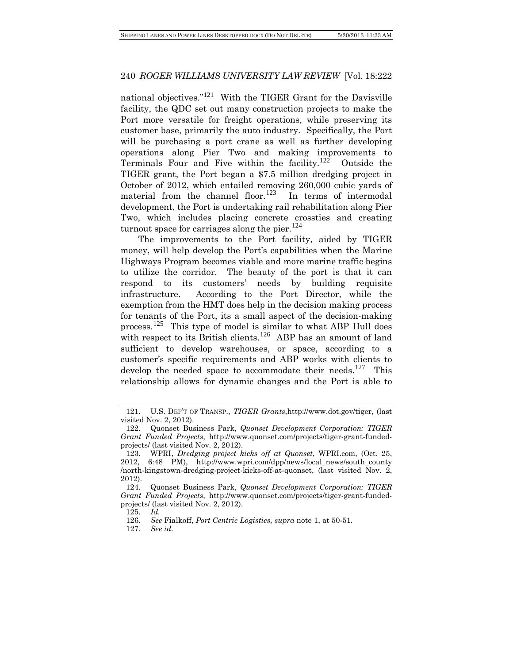national objectives."<sup>[121](#page-21-0)</sup> With the TIGER Grant for the Davisville facility, the QDC set out many construction projects to make the Port more versatile for freight operations, while preserving its customer base, primarily the auto industry. Specifically, the Port will be purchasing a port crane as well as further developing operations along Pier Two and making improvements to Terminals Four and Five within the facility.<sup>[122](#page-21-1)</sup> Outside the TIGER grant, the Port began a \$7.5 million dredging project in October of 2012, which entailed removing 260,000 cubic yards of material from the channel floor.<sup>[123](#page-21-2)</sup> In terms of intermodal development, the Port is undertaking rail rehabilitation along Pier Two, which includes placing concrete crossties and creating turnout space for carriages along the pier.<sup>[124](#page-21-3)</sup>

The improvements to the Port facility, aided by TIGER money, will help develop the Port's capabilities when the Marine Highways Program becomes viable and more marine traffic begins to utilize the corridor. The beauty of the port is that it can respond to its customers' needs by building requisite infrastructure. According to the Port Director, while the exemption from the HMT does help in the decision making process for tenants of the Port, its a small aspect of the decision-making process.<sup>[125](#page-21-4)</sup> This type of model is similar to what ABP Hull does with respect to its British clients.<sup>[126](#page-21-5)</sup> ABP has an amount of land sufficient to develop warehouses, or space, according to a customer's specific requirements and ABP works with clients to develop the needed space to accommodate their needs.<sup>[127](#page-21-6)</sup> This relationship allows for dynamic changes and the Port is able to

<span id="page-21-0"></span><sup>121.</sup> U.S. DEP'T OF TRANSP., *TIGER Grants*[,http://www.dot.gov/tiger,](http://www.dot.gov/tiger) (last visited Nov. 2, 2012).

<span id="page-21-1"></span><sup>122.</sup> Quonset Business Park, *Quonset Development Corporation: TIGER Grant Funded Projects*, http://www.quonset.com/projects/tiger-grant-fundedprojects/ (last visited Nov. 2, 2012).

<span id="page-21-2"></span><sup>123.</sup> WPRI, *Dredging project kicks off at Quonset*, WPRI.com, (Oct. 25, 2012, 6:48 PM), http://www.wpri.com/dpp/news/local\_news/south\_county /north-kingstown-dredging-project-kicks-off-at-quonset, (last visited Nov. 2, 2012).

<span id="page-21-4"></span><span id="page-21-3"></span><sup>124.</sup> Quonset Business Park, *Quonset Development Corporation: TIGER Grant Funded Projects*, http://www.quonset.com/projects/tiger-grant-fundedprojects/ (last visited Nov. 2, 2012).

<sup>125.</sup> *Id.*

<span id="page-21-6"></span><span id="page-21-5"></span><sup>126.</sup> *See* Fialkoff, *Port Centric Logistics, supra* note 1, at 50-51.

<sup>127.</sup> *See id.*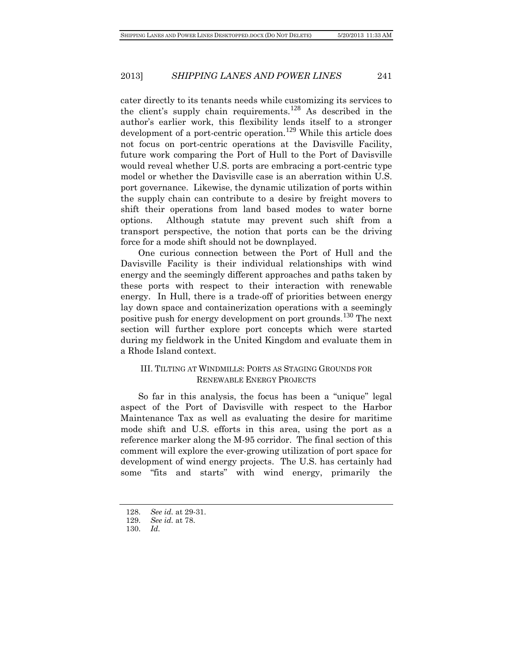cater directly to its tenants needs while customizing its services to the client's supply chain requirements.<sup>[128](#page-22-0)</sup> As described in the author's earlier work, this flexibility lends itself to a stronger development of a port-centric operation.<sup>[129](#page-22-1)</sup> While this article does not focus on port-centric operations at the Davisville Facility, future work comparing the Port of Hull to the Port of Davisville would reveal whether U.S. ports are embracing a port-centric type model or whether the Davisville case is an aberration within U.S. port governance. Likewise, the dynamic utilization of ports within the supply chain can contribute to a desire by freight movers to shift their operations from land based modes to water borne options. Although statute may prevent such shift from a transport perspective, the notion that ports can be the driving force for a mode shift should not be downplayed.

One curious connection between the Port of Hull and the Davisville Facility is their individual relationships with wind energy and the seemingly different approaches and paths taken by these ports with respect to their interaction with renewable energy. In Hull, there is a trade-off of priorities between energy lay down space and containerization operations with a seemingly positive push for energy development on port grounds.<sup>[130](#page-22-2)</sup> The next section will further explore port concepts which were started during my fieldwork in the United Kingdom and evaluate them in a Rhode Island context.

# III. TILTING AT WINDMILLS: PORTS AS STAGING GROUNDS FOR RENEWABLE ENERGY PROJECTS

So far in this analysis, the focus has been a "unique" legal aspect of the Port of Davisville with respect to the Harbor Maintenance Tax as well as evaluating the desire for maritime mode shift and U.S. efforts in this area, using the port as a reference marker along the M-95 corridor. The final section of this comment will explore the ever-growing utilization of port space for development of wind energy projects. The U.S. has certainly had some "fits and starts" with wind energy, primarily the

<span id="page-22-1"></span><span id="page-22-0"></span><sup>128.</sup> *See id.* at 29-31.

<sup>129.</sup> *See id.* at 78.

<span id="page-22-2"></span><sup>130.</sup> *Id.*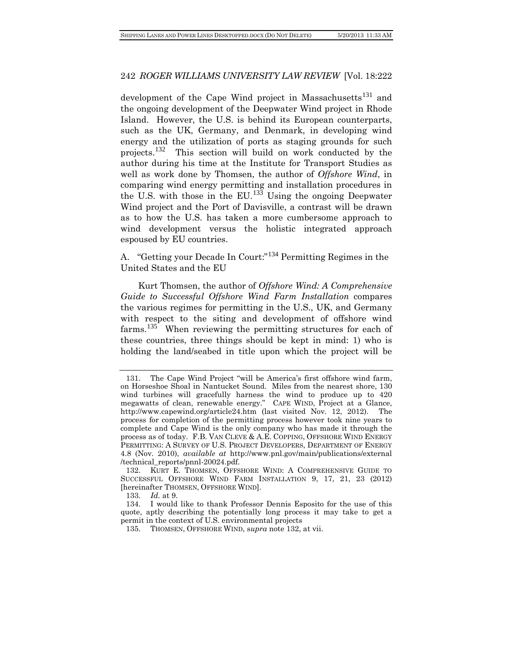development of the Cape Wind project in Massachusetts<sup>[131](#page-23-0)</sup> and the ongoing development of the Deepwater Wind project in Rhode Island. However, the U.S. is behind its European counterparts, such as the UK, Germany, and Denmark, in developing wind energy and the utilization of ports as staging grounds for such projects.[132](#page-23-1) This section will build on work conducted by the author during his time at the Institute for Transport Studies as well as work done by Thomsen, the author of *Offshore Wind*, in comparing wind energy permitting and installation procedures in the U.S. with those in the EU. $^{133}$  $^{133}$  $^{133}$  Using the ongoing Deepwater Wind project and the Port of Davisville, a contrast will be drawn as to how the U.S. has taken a more cumbersome approach to wind development versus the holistic integrated approach espoused by EU countries.

A. "Getting your Decade In Court:"[134](#page-23-3) Permitting Regimes in the United States and the EU

Kurt Thomsen, the author of *Offshore Wind: A Comprehensive Guide to Successful Offshore Wind Farm Installation* compares the various regimes for permitting in the U.S., UK, and Germany with respect to the siting and development of offshore wind farms.<sup>[135](#page-23-4)</sup> When reviewing the permitting structures for each of these countries, three things should be kept in mind: 1) who is holding the land/seabed in title upon which the project will be

<span id="page-23-0"></span><sup>131.</sup> The Cape Wind Project "will be America's first offshore wind farm, on Horseshoe Shoal in Nantucket Sound. Miles from the nearest shore, 130 wind turbines will gracefully harness the wind to produce up to 420 megawatts of clean, renewable energy." CAPE WIND, Project at a Glance, <http://www.capewind.org/article24.htm> (last visited Nov. 12, 2012). The process for completion of the permitting process however took nine years to complete and Cape Wind is the only company who has made it through the process as of today. F.B. VAN CLEVE & A.E. COPPING, OFFSHORE WIND ENERGY PERMITTING: A SURVEY OF U.S. PROJECT DEVELOPERS, DEPARTMENT OF ENERGY 4.8 (Nov. 2010), *available at* http://www.pnl.gov/main/publications/external /technical\_reports/pnnl-20024.pdf.

<span id="page-23-1"></span><sup>132.</sup> KURT E. THOMSEN, OFFSHORE WIND: A COMPREHENSIVE GUIDE TO SUCCESSFUL OFFSHORE WIND FARM INSTALLATION 9, 17, 21, 23 (2012) [hereinafter THOMSEN, OFFSHORE WIND].

<sup>133.</sup> *Id.* at 9.

<span id="page-23-4"></span><span id="page-23-3"></span><span id="page-23-2"></span><sup>134.</sup> I would like to thank Professor Dennis Esposito for the use of this quote, aptly describing the potentially long process it may take to get a permit in the context of U.S. environmental projects

<sup>135.</sup> THOMSEN, OFFSHORE WIND, s*upra* note 132, at vii.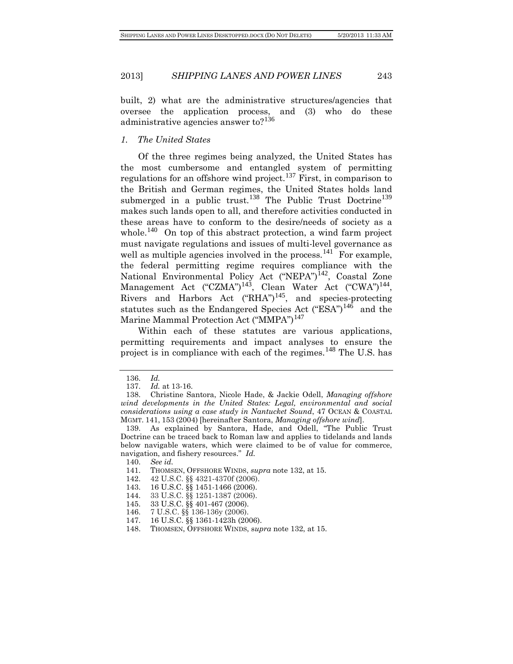built, 2) what are the administrative structures/agencies that oversee the application process, and (3) who do these administrative agencies answer to?<sup>[136](#page-24-0)</sup>

#### *1. The United States*

Of the three regimes being analyzed, the United States has the most cumbersome and entangled system of permitting regulations for an offshore wind project.<sup>[137](#page-24-1)</sup> First, in comparison to the British and German regimes, the United States holds land submerged in a public trust.<sup>[138](#page-24-2)</sup> The Public Trust Doctrine<sup>[139](#page-24-3)</sup> makes such lands open to all, and therefore activities conducted in these areas have to conform to the desire/needs of society as a whole.<sup>[140](#page-24-4)</sup> On top of this abstract protection, a wind farm project must navigate regulations and issues of multi-level governance as well as multiple agencies involved in the process.<sup>[141](#page-24-5)</sup> For example, the federal permitting regime requires compliance with the National Environmental Policy Act ("NEPA")<sup>[142](#page-24-6)</sup>, Coastal Zone Management Act ("CZMA")<sup>[143](#page-24-7)</sup>, Clean Water Act ("CWA")<sup>[144](#page-24-8)</sup>, Rivers and Harbors Act  $("RHA")^{145}$  $("RHA")^{145}$  $("RHA")^{145}$ , and species-protecting statutes such as the Endangered Species Act  $("ESA")^{146}$  $("ESA")^{146}$  $("ESA")^{146}$  and the Marine Mammal Protection Act ("MMPA") [147](#page-24-11)

Within each of these statutes are various applications, permitting requirements and impact analyses to ensure the project is in compliance with each of the regimes.<sup>[148](#page-24-12)</sup> The U.S. has

<sup>136.</sup> *Id.*

<sup>137.</sup> *Id.* at 13-16.

<span id="page-24-2"></span><span id="page-24-1"></span><span id="page-24-0"></span><sup>138.</sup> Christine Santora, Nicole Hade, & Jackie Odell, *Managing offshore wind developments in the United States: Legal, environmental and social considerations using a case study in Nantucket Sound*, 47 OCEAN & COASTAL MGMT. 141, 153 (2004) [hereinafter Santora, *Managing offshore wind*].

<span id="page-24-4"></span><span id="page-24-3"></span><sup>139.</sup> As explained by Santora, Hade, and Odell, "The Public Trust Doctrine can be traced back to Roman law and applies to tidelands and lands below navigable waters, which were claimed to be of value for commerce, navigation, and fishery resources." *Id.*

<sup>140.</sup> *See id.*

<span id="page-24-5"></span><sup>141.</sup> THOMSEN, OFFSHORE WINDS, *supra* note 132, at 15.

<span id="page-24-6"></span><sup>142.</sup> 42 U.S.C. §§ 4321-4370f (2006).

<span id="page-24-8"></span><span id="page-24-7"></span><sup>143.</sup> [16 U.S.C.](http://en.wikipedia.org/wiki/Title_16_of_the_United_States_Code) §§ 1451-1466 (2006).

<sup>144.</sup> 33 U.S.C. §§ 1251-1387 (2006).

<sup>145.</sup> 33 U.S.C. §§ 401-467 (2006).

<span id="page-24-10"></span><span id="page-24-9"></span><sup>146.</sup> 7 U.S.C. §§ 136-136y (2006).

<sup>147.</sup> 16 U.S.C. §§ 1361-1423h (2006).

<span id="page-24-12"></span><span id="page-24-11"></span><sup>148.</sup> THOMSEN, OFFSHORE WINDS, s*upra* note 132, at 15.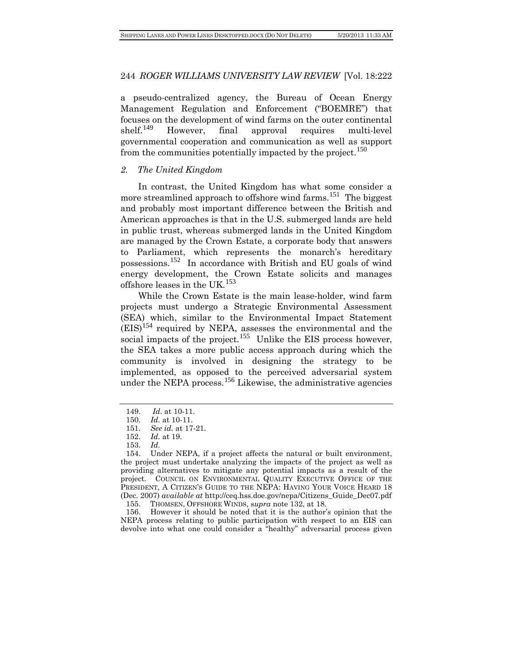a pseudo-centralized agency, the Bureau of Ocean Energy Management Regulation and Enforcement ("BOEMRE") that focuses on the development of wind farms on the outer continental<br>shelf.<sup>149</sup> However, final approval requires multi-level However, final approval requires multi-level governmental cooperation and communication as well as support from the communities potentially impacted by the project.<sup>[150](#page-25-1)</sup>

#### *2. The United Kingdom*

In contrast, the United Kingdom has what some consider a more streamlined approach to offshore wind farms.<sup>[151](#page-25-2)</sup> The biggest and probably most important difference between the British and American approaches is that in the U.S. submerged lands are held in public trust, whereas submerged lands in the United Kingdom are managed by the Crown Estate, a corporate body that answers to Parliament, which represents the monarch's hereditary possessions.[152](#page-25-3) In accordance with British and EU goals of wind energy development, the Crown Estate solicits and manages offshore leases in the UK.<sup>[153](#page-25-4)</sup>

While the Crown Estate is the main lease-holder, wind farm projects must undergo a Strategic Environmental Assessment (SEA) which, similar to the Environmental Impact Statement  $(EIS)^{154}$  $(EIS)^{154}$  $(EIS)^{154}$  required by NEPA, assesses the environmental and the social impacts of the project.<sup>[155](#page-25-6)</sup> Unlike the EIS process however, the SEA takes a more public access approach during which the community is involved in designing the strategy to be implemented, as opposed to the perceived adversarial system under the NEPA process.<sup>[156](#page-25-7)</sup> Likewise, the administrative agencies

<span id="page-25-0"></span><sup>149.</sup> *Id*. at 10-11.

<sup>150.</sup> *Id.* at 10-11.

<sup>151.</sup> *See id.* at 17-21.

<sup>152.</sup> *Id.* at 19.

<sup>153.</sup> *Id.*

<span id="page-25-5"></span><span id="page-25-4"></span><span id="page-25-3"></span><span id="page-25-2"></span><span id="page-25-1"></span><sup>154.</sup> Under NEPA, if a project affects the natural or built environment, the project must undertake analyzing the impacts of the project as well as providing alternatives to mitigate any potential impacts as a result of the project. COUNCIL ON ENVIRONMENTAL QUALITY EXECUTIVE OFFICE OF THE PRESIDENT, A CITIZEN'S GUIDE TO THE NEPA: HAVING YOUR VOICE HEARD 18 (Dec. 2007) *available at* http://ceq.hss.doe.gov/nepa/Citizens\_Guide\_Dec07.pdf

<sup>155.</sup> THOMSEN, OFFSHORE WINDS, s*upra* note 132, at 18.

<span id="page-25-7"></span><span id="page-25-6"></span><sup>156.</sup> However it should be noted that it is the author's opinion that the NEPA process relating to public participation with respect to an EIS can devolve into what one could consider a "healthy" adversarial process given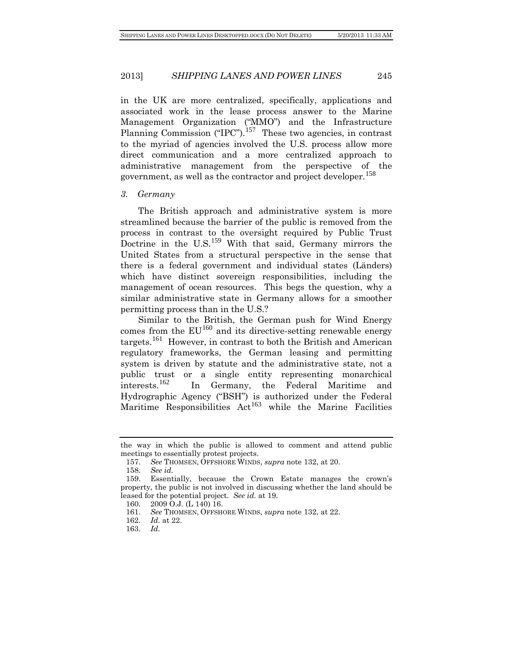in the UK are more centralized, specifically, applications and associated work in the lease process answer to the Marine Management Organization ("MMO") and the Infrastructure Planning Commission ("IPC").<sup>[157](#page-26-0)</sup> These two agencies, in contrast to the myriad of agencies involved the U.S. process allow more direct communication and a more centralized approach to administrative management from the perspective of the government, as well as the contractor and project developer.<sup>[158](#page-26-1)</sup>

#### *3. Germany*

The British approach and administrative system is more streamlined because the barrier of the public is removed from the process in contrast to the oversight required by Public Trust Doctrine in the U.S.<sup>[159](#page-26-2)</sup> With that said, Germany mirrors the United States from a structural perspective in the sense that there is a federal government and individual states (Länders) which have distinct sovereign responsibilities, including the management of ocean resources. This begs the question, why a similar administrative state in Germany allows for a smoother permitting process than in the U.S.?

Similar to the British, the German push for Wind Energy comes from the  $EU^{160}$  $EU^{160}$  $EU^{160}$  and its directive-setting renewable energy targets.[161](#page-26-4) However, in contrast to both the British and American regulatory frameworks, the German leasing and permitting system is driven by statute and the administrative state, not a public trust or a single entity representing monarchical interests.[162](#page-26-5) In Germany, the Federal Maritime and Hydrographic Agency ("BSH") is authorized under the Federal Maritime Responsibilities  $Act^{163}$  $Act^{163}$  $Act^{163}$  while the Marine Facilities

<span id="page-26-1"></span><span id="page-26-0"></span>the way in which the public is allowed to comment and attend public meetings to essentially protest projects.

<sup>157.</sup> *See* THOMSEN, OFFSHORE WINDS, *supra* note 132, at 20.

<sup>158.</sup> *See id.*

<span id="page-26-4"></span><span id="page-26-3"></span><span id="page-26-2"></span>Essentially, because the Crown Estate manages the crown's property, the public is not involved in discussing whether the land should be leased for the potential project. *See id.* at 19.

<sup>160.</sup> 2009 O.J. (L 140) 16.

<span id="page-26-5"></span><sup>161.</sup> *See* THOMSEN, OFFSHORE WINDS, *supra* note 132, at 22.

<span id="page-26-6"></span><sup>162.</sup> *Id.* at 22.

<sup>163.</sup> *Id.*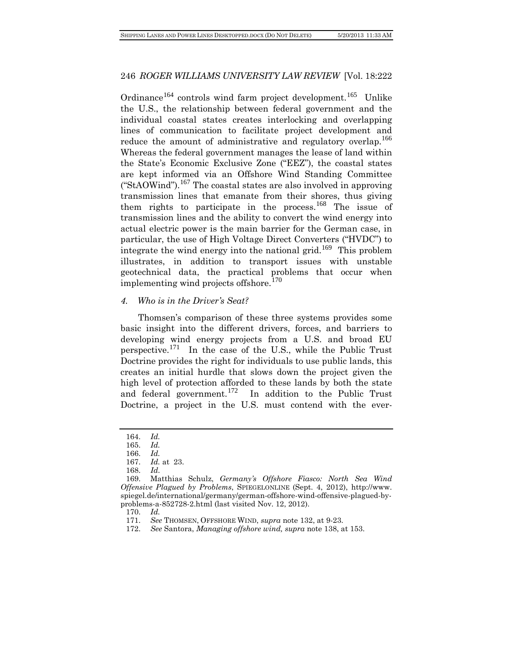Ordinance<sup>[164](#page-27-0)</sup> controls wind farm project development.<sup>[165](#page-27-1)</sup> Unlike the U.S., the relationship between federal government and the individual coastal states creates interlocking and overlapping lines of communication to facilitate project development and reduce the amount of administrative and regulatory overlap.<sup>[166](#page-27-2)</sup> Whereas the federal government manages the lease of land within the State's Economic Exclusive Zone ("EEZ"), the coastal states are kept informed via an Offshore Wind Standing Committee ("StAOWind").<sup>[167](#page-27-3)</sup> The coastal states are also involved in approving transmission lines that emanate from their shores, thus giving them rights to participate in the process.<sup>[168](#page-27-4)</sup> The issue of transmission lines and the ability to convert the wind energy into actual electric power is the main barrier for the German case, in particular, the use of High Voltage Direct Converters ("HVDC") to integrate the wind energy into the national grid.<sup>[169](#page-27-5)</sup> This problem illustrates, in addition to transport issues with unstable geotechnical data, the practical problems that occur when implementing wind projects offshore.<sup>[170](#page-27-6)</sup>

#### *4. Who is in the Driver's Seat?*

Thomsen's comparison of these three systems provides some basic insight into the different drivers, forces, and barriers to developing wind energy projects from a U.S. and broad EU perspective.[171](#page-27-7) In the case of the U.S., while the Public Trust Doctrine provides the right for individuals to use public lands, this creates an initial hurdle that slows down the project given the high level of protection afforded to these lands by both the state and federal government.<sup>[172](#page-27-8)</sup> In addition to the Public Trust Doctrine, a project in the U.S. must contend with the ever-

<span id="page-27-0"></span><sup>164.</sup> *Id.*

<sup>165.</sup> *Id.*

<sup>166.</sup> *Id.* 

<sup>167.</sup> *Id.* at 23.

<sup>168.</sup> *Id.*

<span id="page-27-6"></span><span id="page-27-5"></span><span id="page-27-4"></span><span id="page-27-3"></span><span id="page-27-2"></span><span id="page-27-1"></span><sup>169.</sup> Matthias Schulz, *Germany's Offshore Fiasco: North Sea Wind Offensive Plagued by Problems*, SPIEGELONLINE (Sept. 4, 2012), [http://www.](http://www.spiegel.de/international/germany/german-offshore-wind-offensive-plagued-by-problems-a-852728-2.html) [spiegel.de/international/germany/german-offshore-wind-offensive-plagued-by](http://www.spiegel.de/international/germany/german-offshore-wind-offensive-plagued-by-problems-a-852728-2.html)[problems-a-852728-2.html](http://www.spiegel.de/international/germany/german-offshore-wind-offensive-plagued-by-problems-a-852728-2.html) (last visited Nov. 12, 2012).

<sup>170.</sup> *Id.*

<span id="page-27-8"></span><span id="page-27-7"></span><sup>171.</sup> *See* THOMSEN, OFFSHORE WIND, *supra* note 132, at 9-23.

<sup>172.</sup> *See* Santora, *Managing offshore wind, supra* note 138, at 153.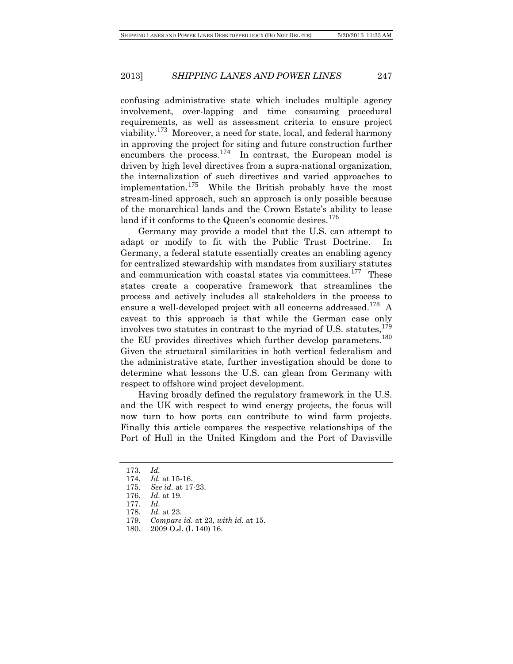confusing administrative state which includes multiple agency involvement, over-lapping and time consuming procedural requirements, as well as assessment criteria to ensure project viability.[173](#page-28-0) Moreover, a need for state, local, and federal harmony in approving the project for siting and future construction further encumbers the process.<sup>[174](#page-28-1)</sup> In contrast, the European model is driven by high level directives from a supra-national organization, the internalization of such directives and varied approaches to implementation.<sup>[175](#page-28-2)</sup> While the British probably have the most stream-lined approach, such an approach is only possible because of the monarchical lands and the Crown Estate's ability to lease land if it conforms to the Queen's economic desires.  $1/6$ 

Germany may provide a model that the U.S. can attempt to adapt or modify to fit with the Public Trust Doctrine. In Germany, a federal statute essentially creates an enabling agency for centralized stewardship with mandates from auxiliary statutes and communication with coastal states via committees.<sup>[177](#page-28-4)</sup> These states create a cooperative framework that streamlines the process and actively includes all stakeholders in the process to ensure a well-developed project with all concerns addressed.<sup>[178](#page-28-5)</sup> A caveat to this approach is that while the German case only involves two statutes in contrast to the myriad of U.S. statutes,  $^{179}$  $^{179}$  $^{179}$ the EU provides directives which further develop parameters.<sup>[180](#page-28-7)</sup> Given the structural similarities in both vertical federalism and the administrative state, further investigation should be done to determine what lessons the U.S. can glean from Germany with respect to offshore wind project development.

Having broadly defined the regulatory framework in the U.S. and the UK with respect to wind energy projects, the focus will now turn to how ports can contribute to wind farm projects. Finally this article compares the respective relationships of the Port of Hull in the United Kingdom and the Port of Davisville

<span id="page-28-1"></span><span id="page-28-0"></span><sup>173.</sup> *Id.*

*Id.* at 15-16.

<span id="page-28-3"></span><span id="page-28-2"></span><sup>175.</sup> *See id.* at 17-23.

<sup>176.</sup> *Id.* at 19.

<span id="page-28-4"></span><sup>177.</sup> *Id.*

<span id="page-28-5"></span><sup>178.</sup> *Id.* at 23.

<span id="page-28-6"></span><sup>179.</sup> *Compare id.* at 23, *with id.* at 15.

<span id="page-28-7"></span><sup>180.</sup> 2009 O.J. (L 140) 16.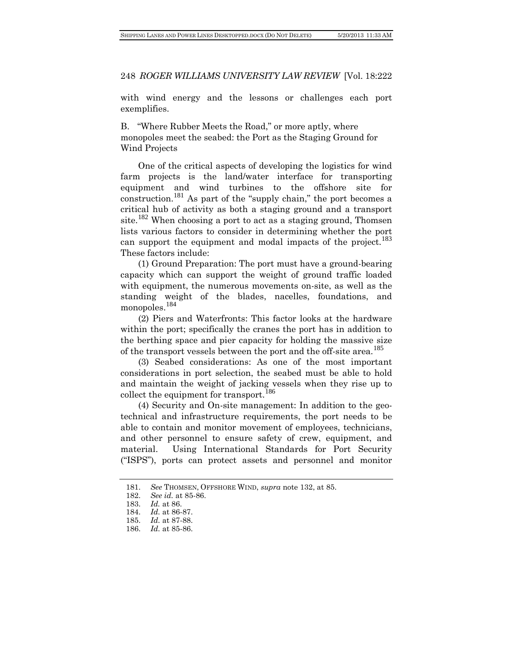with wind energy and the lessons or challenges each port exemplifies.

B. "Where Rubber Meets the Road," or more aptly, where monopoles meet the seabed: the Port as the Staging Ground for Wind Projects

One of the critical aspects of developing the logistics for wind farm projects is the land/water interface for transporting equipment and wind turbines to the offshore site for construction.[181](#page-29-0) As part of the "supply chain," the port becomes a critical hub of activity as both a staging ground and a transport site.<sup>[182](#page-29-1)</sup> When choosing a port to act as a staging ground, Thomsen lists various factors to consider in determining whether the port can support the equipment and modal impacts of the project.<sup>[183](#page-29-2)</sup> These factors include:

(1) Ground Preparation: The port must have a ground-bearing capacity which can support the weight of ground traffic loaded with equipment, the numerous movements on-site, as well as the standing weight of the blades, nacelles, foundations, and monopoles.<sup>[184](#page-29-3)</sup>

(2) Piers and Waterfronts: This factor looks at the hardware within the port; specifically the cranes the port has in addition to the berthing space and pier capacity for holding the massive size of the transport vessels between the port and the off-site area.<sup>[185](#page-29-4)</sup>

(3) Seabed considerations: As one of the most important considerations in port selection, the seabed must be able to hold and maintain the weight of jacking vessels when they rise up to collect the equipment for transport.<sup>[186](#page-29-5)</sup>

(4) Security and On-site management: In addition to the geotechnical and infrastructure requirements, the port needs to be able to contain and monitor movement of employees, technicians, and other personnel to ensure safety of crew, equipment, and material. Using International Standards for Port Security ("ISPS"), ports can protect assets and personnel and monitor

<span id="page-29-1"></span><span id="page-29-0"></span><sup>181.</sup> *See* THOMSEN, OFFSHORE WIND, *supra* note 132, at 85.

<sup>182.</sup> *See id.* at 85-86.

<span id="page-29-2"></span><sup>183.</sup> *Id.* at 86.

<span id="page-29-3"></span><sup>184.</sup> *Id.* at 86-87.

<span id="page-29-4"></span><sup>185.</sup> *Id.* at 87-88.

<span id="page-29-5"></span><sup>186.</sup> *Id.* at 85-86.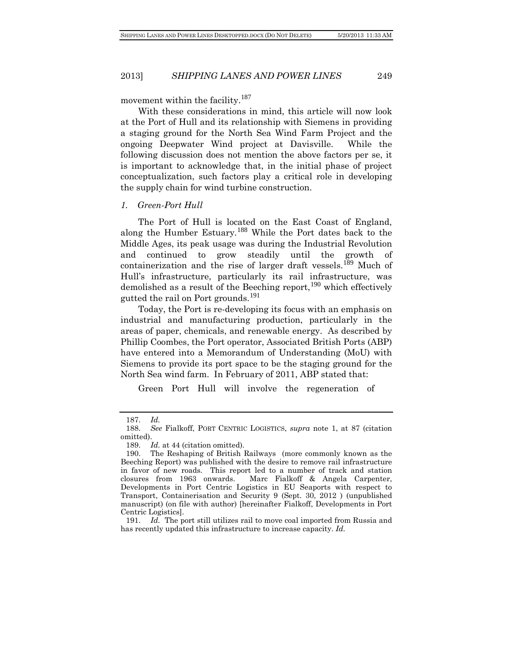movement within the facility.<sup>[187](#page-30-0)</sup>

With these considerations in mind, this article will now look at the Port of Hull and its relationship with Siemens in providing a staging ground for the North Sea Wind Farm Project and the ongoing Deepwater Wind project at Davisville. While the following discussion does not mention the above factors per se, it is important to acknowledge that, in the initial phase of project conceptualization, such factors play a critical role in developing the supply chain for wind turbine construction.

#### *1. Green-Port Hull*

The Port of Hull is located on the East Coast of England, along the Humber Estuary.<sup>[188](#page-30-1)</sup> While the Port dates back to the Middle Ages, its peak usage was during the Industrial Revolution and continued to grow steadily until the growth of containerization and the rise of larger draft vessels.<sup>[189](#page-30-2)</sup> Much of Hull's infrastructure, particularly its rail infrastructure, was demolished as a result of the Beeching report,  $190$  which effectively gutted the rail on Port grounds.<sup>[191](#page-30-4)</sup>

Today, the Port is re-developing its focus with an emphasis on industrial and manufacturing production, particularly in the areas of paper, chemicals, and renewable energy. As described by Phillip Coombes, the Port operator, Associated British Ports (ABP) have entered into a Memorandum of Understanding (MoU) with Siemens to provide its port space to be the staging ground for the North Sea wind farm. In February of 2011, ABP stated that:

Green Port Hull will involve the regeneration of

<sup>187.</sup> *Id.*

<span id="page-30-1"></span><span id="page-30-0"></span><sup>188.</sup> *See* Fialkoff, PORT CENTRIC LOGISTICS, *supra* note 1, at 87 (citation omitted).

<sup>189.</sup> *Id.* at 44 (citation omitted).

<span id="page-30-3"></span><span id="page-30-2"></span><sup>190.</sup> The Reshaping of British Railways (more commonly known as the Beeching Report) was published with the desire to remove rail infrastructure in favor of new roads. This report led to a number of track and station closures from 1963 onwards. Marc Fialkoff & Angela Carpenter, Marc Fialkoff & Angela Carpenter, Developments in Port Centric Logistics in EU Seaports with respect to Transport, Containerisation and Security 9 (Sept. 30, 2012 ) (unpublished manuscript) (on file with author) [hereinafter Fialkoff, Developments in Port Centric Logistics].

<span id="page-30-4"></span><sup>191.</sup> *Id.* The port still utilizes rail to move coal imported from Russia and has recently updated this infrastructure to increase capacity. *Id.*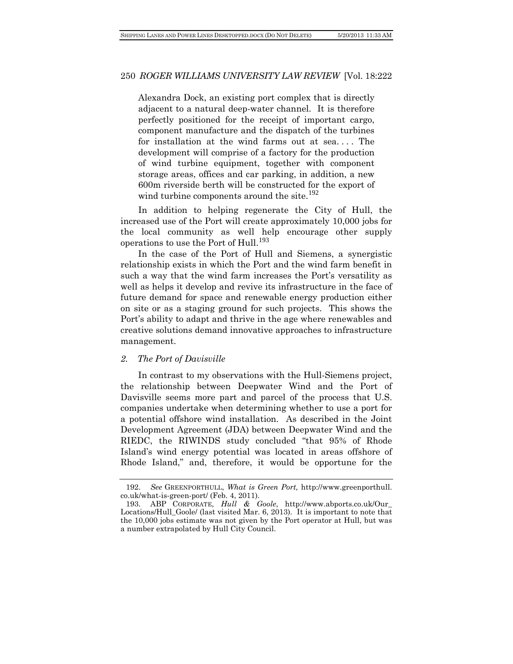Alexandra Dock, an existing port complex that is directly adjacent to a natural deep-water channel. It is therefore perfectly positioned for the receipt of important cargo, component manufacture and the dispatch of the turbines for installation at the wind farms out at sea. . . . The development will comprise of a factory for the production of wind turbine equipment, together with component storage areas, offices and car parking, in addition, a new 600m riverside berth will be constructed for the export of wind turbine components around the site.<sup>[192](#page-31-0)</sup>

In addition to helping regenerate the City of Hull, the increased use of the Port will create approximately 10,000 jobs for the local community as well help encourage other supply operations to use the Port of Hull.<sup>[193](#page-31-1)</sup>

In the case of the Port of Hull and Siemens, a synergistic relationship exists in which the Port and the wind farm benefit in such a way that the wind farm increases the Port's versatility as well as helps it develop and revive its infrastructure in the face of future demand for space and renewable energy production either on site or as a staging ground for such projects. This shows the Port's ability to adapt and thrive in the age where renewables and creative solutions demand innovative approaches to infrastructure management.

#### *2. The Port of Davisville*

In contrast to my observations with the Hull-Siemens project, the relationship between Deepwater Wind and the Port of Davisville seems more part and parcel of the process that U.S. companies undertake when determining whether to use a port for a potential offshore wind installation. As described in the Joint Development Agreement (JDA) between Deepwater Wind and the RIEDC, the RIWINDS study concluded "that 95% of Rhode Island's wind energy potential was located in areas offshore of Rhode Island," and, therefore, it would be opportune for the

<span id="page-31-0"></span><sup>192.</sup> *See* GREENPORTHULL, *What is Green Port,* http://www.greenporthull. co.uk/what-is-green-port/ (Feb. 4, 2011).

<span id="page-31-1"></span><sup>193.</sup> ABP CORPORATE, *Hull & Goole*, http://www.abports.co.uk/Our\_ Locations/Hull\_Goole/ (last visited Mar. 6, 2013). It is important to note that the 10,000 jobs estimate was not given by the Port operator at Hull, but was a number extrapolated by Hull City Council.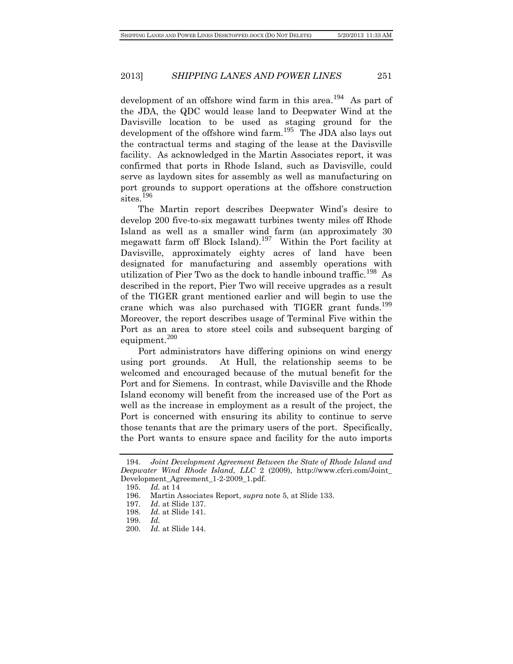development of an offshore wind farm in this area.<sup>[194](#page-32-0)</sup> As part of the JDA, the QDC would lease land to Deepwater Wind at the Davisville location to be used as staging ground for the development of the offshore wind farm.<sup>[195](#page-32-1)</sup> The JDA also lays out the contractual terms and staging of the lease at the Davisville facility. As acknowledged in the Martin Associates report, it was confirmed that ports in Rhode Island, such as Davisville, could serve as laydown sites for assembly as well as manufacturing on port grounds to support operations at the offshore construction sites.<sup>[196](#page-32-2)</sup>

The Martin report describes Deepwater Wind's desire to develop 200 five-to-six megawatt turbines twenty miles off Rhode Island as well as a smaller wind farm (an approximately 30 megawatt farm off Block Island).<sup>[197](#page-32-3)</sup> Within the Port facility at Davisville, approximately eighty acres of land have been designated for manufacturing and assembly operations with utilization of Pier Two as the dock to handle inbound traffic.<sup>[198](#page-32-4)</sup> As described in the report, Pier Two will receive upgrades as a result of the TIGER grant mentioned earlier and will begin to use the crane which was also purchased with TIGER grant funds.<sup>[199](#page-32-5)</sup> Moreover, the report describes usage of Terminal Five within the Port as an area to store steel coils and subsequent barging of equipment.<sup>[200](#page-32-6)</sup>

Port administrators have differing opinions on wind energy using port grounds. At Hull, the relationship seems to be welcomed and encouraged because of the mutual benefit for the Port and for Siemens. In contrast, while Davisville and the Rhode Island economy will benefit from the increased use of the Port as well as the increase in employment as a result of the project, the Port is concerned with ensuring its ability to continue to serve those tenants that are the primary users of the port. Specifically, the Port wants to ensure space and facility for the auto imports

<span id="page-32-2"></span><span id="page-32-1"></span><span id="page-32-0"></span><sup>194.</sup> *Joint Development Agreement Between the State of Rhode Island and Deepwater Wind Rhode Island, LLC* 2 (2009), http://www.cfcri.com/Joint\_ Development\_Agreement\_1-2-2009\_1.pdf.

<sup>195.</sup> *Id.* at 14

<span id="page-32-3"></span><sup>196.</sup> Martin Associates Report, *supra* note 5, at Slide 133.

<sup>197.</sup> *Id.* at Slide 137.

<span id="page-32-4"></span><sup>198.</sup> *Id.* at Slide 141.

<span id="page-32-5"></span><sup>199.</sup> *Id.*

<span id="page-32-6"></span><sup>200.</sup> *Id.* at Slide 144.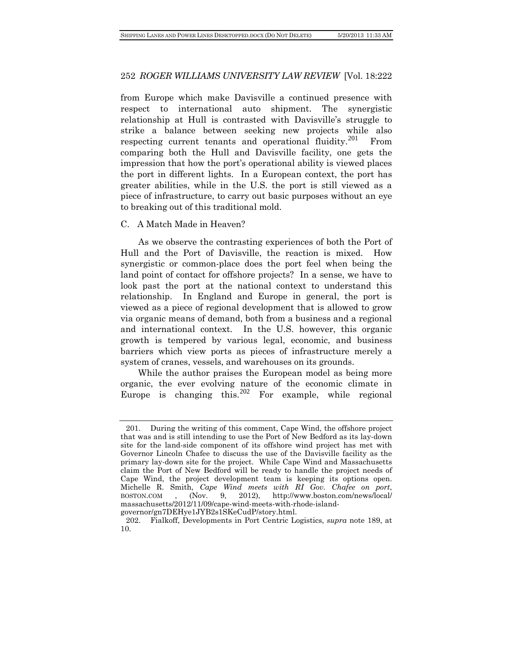from Europe which make Davisville a continued presence with respect to international auto shipment. The synergistic relationship at Hull is contrasted with Davisville's struggle to strike a balance between seeking new projects while also respecting current tenants and operational fluidity.<sup>[201](#page-33-0)</sup> From comparing both the Hull and Davisville facility, one gets the impression that how the port's operational ability is viewed places the port in different lights. In a European context, the port has greater abilities, while in the U.S. the port is still viewed as a piece of infrastructure, to carry out basic purposes without an eye to breaking out of this traditional mold.

#### C. A Match Made in Heaven?

As we observe the contrasting experiences of both the Port of Hull and the Port of Davisville, the reaction is mixed. How synergistic or common-place does the port feel when being the land point of contact for offshore projects? In a sense, we have to look past the port at the national context to understand this relationship. In England and Europe in general, the port is viewed as a piece of regional development that is allowed to grow via organic means of demand, both from a business and a regional and international context. In the U.S. however, this organic growth is tempered by various legal, economic, and business barriers which view ports as pieces of infrastructure merely a system of cranes, vessels, and warehouses on its grounds.

While the author praises the European model as being more organic, the ever evolving nature of the economic climate in Europe is changing this.<sup>[202](#page-33-1)</sup> For example, while regional

<span id="page-33-0"></span><sup>201.</sup> During the writing of this comment, Cape Wind, the offshore project that was and is still intending to use the Port of New Bedford as its lay-down site for the land-side component of its offshore wind project has met with Governor Lincoln Chafee to discuss the use of the Davisville facility as the primary lay-down site for the project. While Cape Wind and Massachusetts claim the Port of New Bedford will be ready to handle the project needs of Cape Wind, the project development team is keeping its options open. Michelle R. Smith, *Cape Wind meets with RI Gov. Chafee on port*, BOSTON.COM , (Nov. 9, 2012), http://www.boston.com/news/local/ massachusetts/2012/11/09/cape-wind-meets-with-rhode-island-

governor/gn7DEHye1JYB2s1SKeCudP/story.html.

<span id="page-33-1"></span><sup>202.</sup> Fialkoff, Developments in Port Centric Logistics, *supra* note 189, at 10.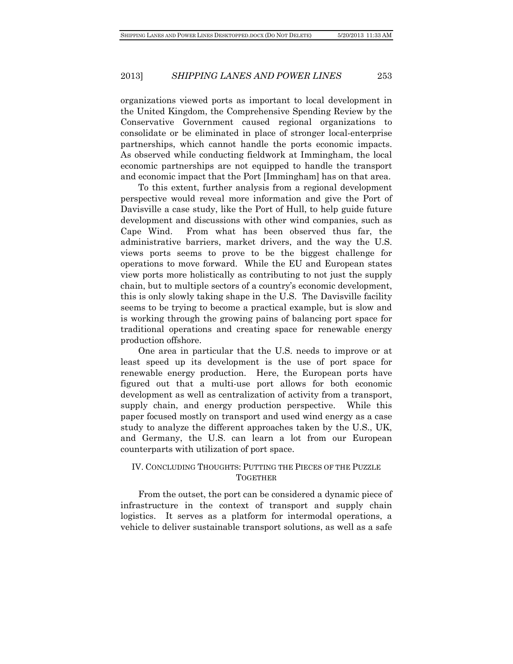organizations viewed ports as important to local development in the United Kingdom, the Comprehensive Spending Review by the Conservative Government caused regional organizations to consolidate or be eliminated in place of stronger local-enterprise partnerships, which cannot handle the ports economic impacts. As observed while conducting fieldwork at Immingham, the local economic partnerships are not equipped to handle the transport and economic impact that the Port [Immingham] has on that area.

To this extent, further analysis from a regional development perspective would reveal more information and give the Port of Davisville a case study, like the Port of Hull, to help guide future development and discussions with other wind companies, such as Cape Wind. From what has been observed thus far, the administrative barriers, market drivers, and the way the U.S. views ports seems to prove to be the biggest challenge for operations to move forward. While the EU and European states view ports more holistically as contributing to not just the supply chain, but to multiple sectors of a country's economic development, this is only slowly taking shape in the U.S. The Davisville facility seems to be trying to become a practical example, but is slow and is working through the growing pains of balancing port space for traditional operations and creating space for renewable energy production offshore.

One area in particular that the U.S. needs to improve or at least speed up its development is the use of port space for renewable energy production. Here, the European ports have figured out that a multi-use port allows for both economic development as well as centralization of activity from a transport, supply chain, and energy production perspective. While this paper focused mostly on transport and used wind energy as a case study to analyze the different approaches taken by the U.S., UK, and Germany, the U.S. can learn a lot from our European counterparts with utilization of port space.

# IV. CONCLUDING THOUGHTS: PUTTING THE PIECES OF THE PUZZLE **TOGETHER**

From the outset, the port can be considered a dynamic piece of infrastructure in the context of transport and supply chain logistics. It serves as a platform for intermodal operations, a vehicle to deliver sustainable transport solutions, as well as a safe